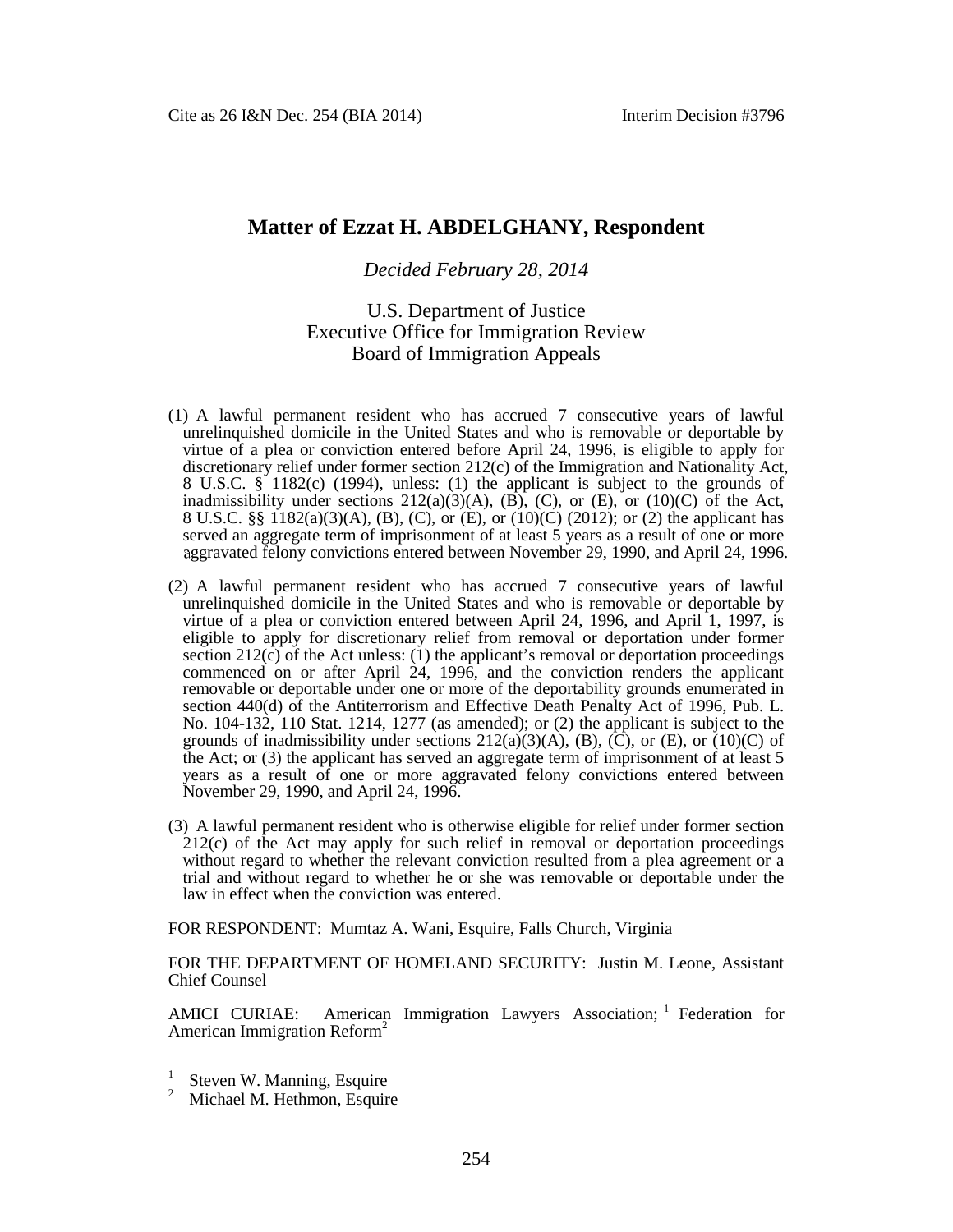# **Matter of Ezzat H. ABDELGHANY, Respondent**

# *Decided February 28, 2014*

# U.S. Department of Justice Executive Office for Immigration Review Board of Immigration Appeals

- (1) A lawful permanent resident who has accrued 7 consecutive years of lawful unrelinquished domicile in the United States and who is removable or deportable by virtue of a plea or conviction entered before April 24, 1996, is eligible to apply for discretionary relief under former section 212(c) of the Immigration and Nationality Act, 8 U.S.C. § 1182(c) (1994), unless: (1) the applicant is subject to the grounds of inadmissibility under sections  $212(a)(3)(A)$ ,  $(\overline{B})$ ,  $(\overline{C})$ , or  $(\overline{E})$ , or  $(10)(\overline{C})$  of the Act, 8 U.S.C. §§ 1182(a)(3)(A), (B), (C), or (E), or (10)(C) (2012); or (2) the applicant has served an aggregate term of imprisonment of at least 5 years as a result of one or more aggravated felony convictions entered between November 29, 1990, and April 24, 1996.
- (2) A lawful permanent resident who has accrued 7 consecutive years of lawful unrelinquished domicile in the United States and who is removable or deportable by virtue of a plea or conviction entered between April 24, 1996, and April 1, 1997, is eligible to apply for discretionary relief from removal or deportation under former section  $212(c)$  of the Act unless: (1) the applicant's removal or deportation proceedings commenced on or after April 24, 1996, and the conviction renders the applicant removable or deportable under one or more of the deportability grounds enumerated in section 440(d) of the Antiterrorism and Effective Death Penalty Act of 1996, Pub. L. No. 104-132, 110 Stat. 1214, 1277 (as amended); or (2) the applicant is subject to the grounds of inadmissibility under sections  $212(a)(3)(A)$ , (B), (C), or (E), or (10)(C) of the Act; or (3) the applicant has served an aggregate term of imprisonment of at least 5 years as a result of one or more aggravated felony convictions entered between November 29, 1990, and April 24, 1996.
- (3) A lawful permanent resident who is otherwise eligible for relief under former section 212(c) of the Act may apply for such relief in removal or deportation proceedings without regard to whether the relevant conviction resulted from a plea agreement or a trial and without regard to whether he or she was removable or deportable under the law in effect when the conviction was entered.

FOR RESPONDENT: Mumtaz A. Wani, Esquire, Falls Church, Virginia

FOR THE DEPARTMENT OF HOMELAND SECURITY: Justin M. Leone, Assistant Chief Counsel

AMICI CURIAE: American Immigration Lawyers Association; <sup>[1](#page-0-0)</sup> Federation for American Immigration Reform<sup>[2](#page-0-1)</sup>

<span id="page-0-0"></span><sup>1</sup> Steven W. Manning, Esquire

<span id="page-0-1"></span><sup>&</sup>lt;sup>2</sup> Michael M. Hethmon, Esquire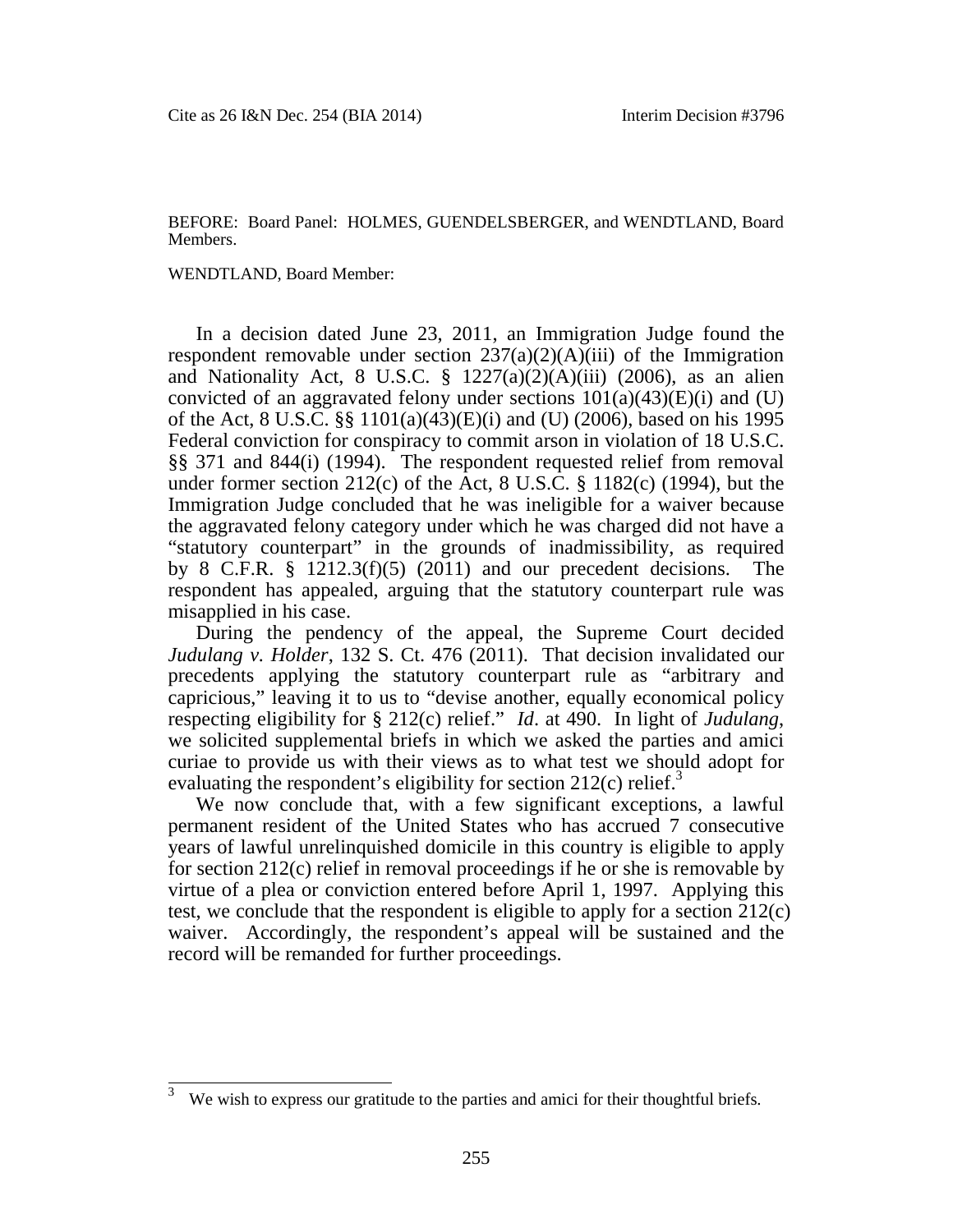#### BEFORE: Board Panel: HOLMES, GUENDELSBERGER, and WENDTLAND, Board Members.

#### WENDTLAND, Board Member:

In a decision dated June 23, 2011, an Immigration Judge found the respondent removable under section  $237(a)(2)(A)(iii)$  of the Immigration and Nationality Act, 8 U.S.C.  $\S$  1227(a)(2)(A)(iii) (2006), as an alien convicted of an aggravated felony under sections  $101(a)(43)(E)(i)$  and (U) of the Act, 8 U.S.C. §§ 1101(a)(43)(E)(i) and (U) (2006), based on his 1995 Federal conviction for conspiracy to commit arson in violation of 18 U.S.C. §§ 371 and 844(i) (1994). The respondent requested relief from removal under former section  $212(c)$  of the Act, 8 U.S.C. § 1182(c) (1994), but the Immigration Judge concluded that he was ineligible for a waiver because the aggravated felony category under which he was charged did not have a "statutory counterpart" in the grounds of inadmissibility, as required by 8 C.F.R. § 1212.3(f)(5) (2011) and our precedent decisions. The respondent has appealed, arguing that the statutory counterpart rule was misapplied in his case.

During the pendency of the appeal, the Supreme Court decided *Judulang v. Holder*, 132 S. Ct. 476 (2011). That decision invalidated our precedents applying the statutory counterpart rule as "arbitrary and capricious," leaving it to us to "devise another, equally economical policy respecting eligibility for § 212(c) relief." *Id*. at 490. In light of *Judulang*, we solicited supplemental briefs in which we asked the parties and amici curiae to provide us with their views as to what test we should adopt for evaluating the respondent's eligibility for section  $212(c)$  relief.<sup>[3](#page-1-0)</sup>

We now conclude that, with a few significant exceptions, a lawful permanent resident of the United States who has accrued 7 consecutive years of lawful unrelinquished domicile in this country is eligible to apply for section 212(c) relief in removal proceedings if he or she is removable by virtue of a plea or conviction entered before April 1, 1997. Applying this test, we conclude that the respondent is eligible to apply for a section 212(c) waiver. Accordingly, the respondent's appeal will be sustained and the record will be remanded for further proceedings.

<span id="page-1-0"></span> $3$  We wish to express our gratitude to the parties and amici for their thoughtful briefs.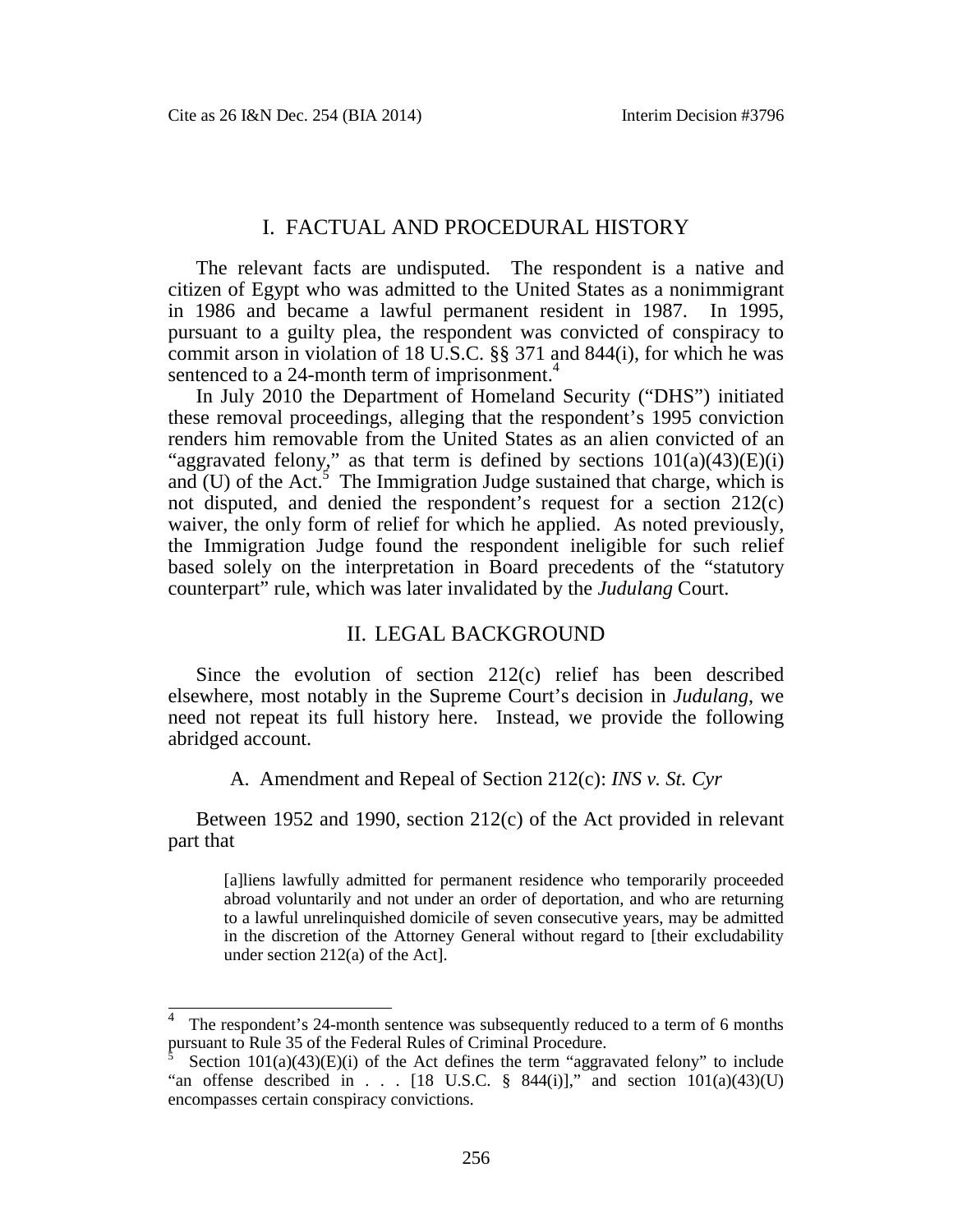## I. FACTUAL AND PROCEDURAL HISTORY

The relevant facts are undisputed. The respondent is a native and citizen of Egypt who was admitted to the United States as a nonimmigrant in 1986 and became a lawful permanent resident in 1987. In 1995, pursuant to a guilty plea, the respondent was convicted of conspiracy to commit arson in violation of 18 U.S.C. §§ 371 and 844(i), for which he was sentenced to a 2[4](#page-2-0)-month term of imprisonment.<sup>4</sup>

In July 2010 the Department of Homeland Security ("DHS") initiated these removal proceedings, alleging that the respondent's 1995 conviction renders him removable from the United States as an alien convicted of an "aggravated felony," as that term is defined by sections  $101(a)(43)(E)(i)$ and $(U)$  of the Act[.](#page-2-1)<sup>5</sup> The Immigration Judge sustained that charge, which is not disputed, and denied the respondent's request for a section 212(c) waiver, the only form of relief for which he applied. As noted previously, the Immigration Judge found the respondent ineligible for such relief based solely on the interpretation in Board precedents of the "statutory counterpart" rule, which was later invalidated by the *Judulang* Court.

# II. LEGAL BACKGROUND

Since the evolution of section 212(c) relief has been described elsewhere, most notably in the Supreme Court's decision in *Judulang*, we need not repeat its full history here. Instead, we provide the following abridged account.

A. Amendment and Repeal of Section 212(c): *INS v. St. Cyr*

Between 1952 and 1990, section 212(c) of the Act provided in relevant part that

[a]liens lawfully admitted for permanent residence who temporarily proceeded abroad voluntarily and not under an order of deportation, and who are returning to a lawful unrelinquished domicile of seven consecutive years, may be admitted in the discretion of the Attorney General without regard to [their excludability under section 212(a) of the Act].

<span id="page-2-0"></span><sup>4</sup> The respondent's 24-month sentence was subsequently reduced to a term of 6 months pursuant to Rule 35 of the Federal Rules of Criminal Procedure.

<span id="page-2-1"></span>Section  $101(a)(43)(E)(i)$  of the Act defines the term "aggravated felony" to include "an offense described in . . . [18 U.S.C. § 844(i)]," and section  $101(a)(43)(U)$ encompasses certain conspiracy convictions.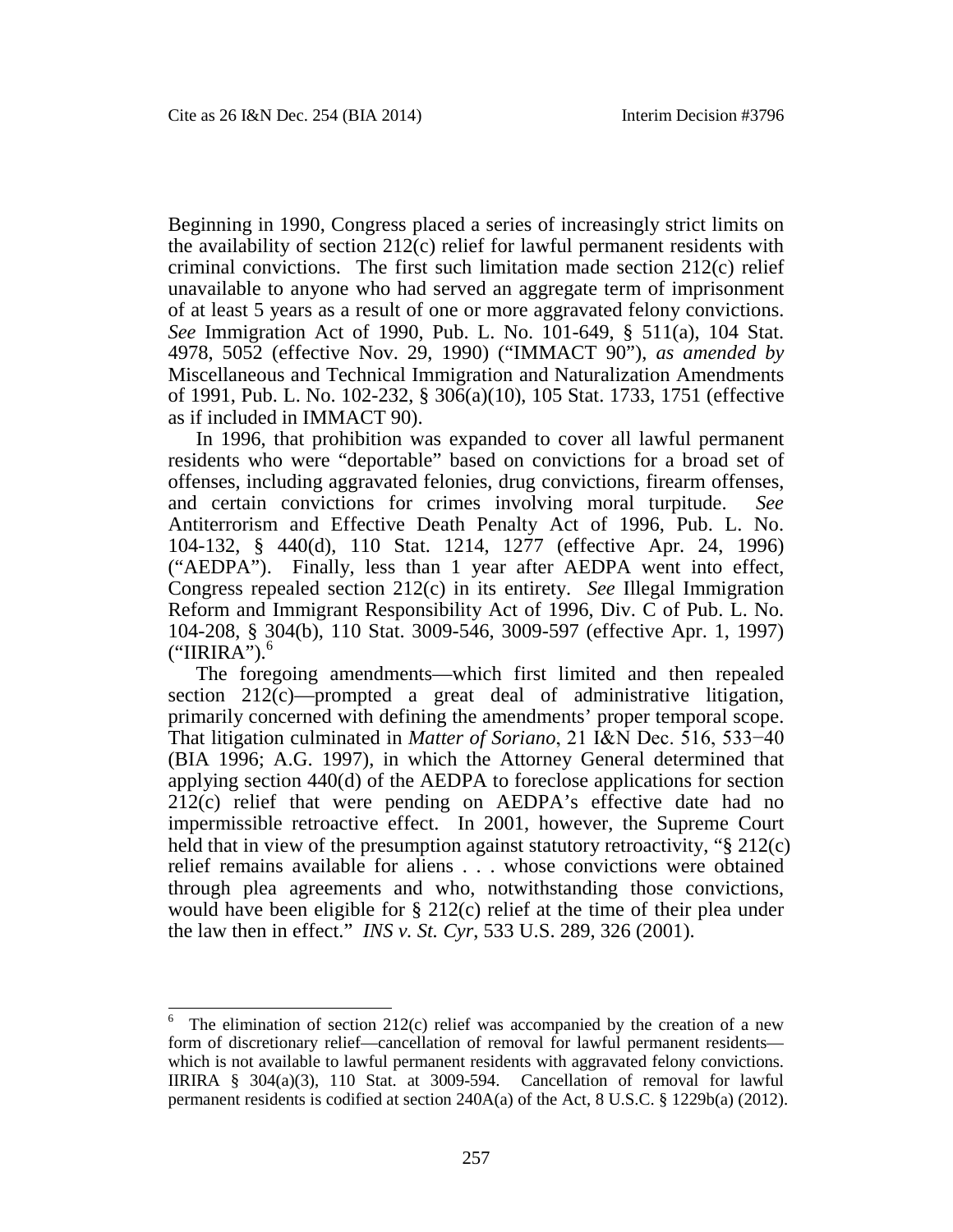Beginning in 1990, Congress placed a series of increasingly strict limits on the availability of section  $212(c)$  relief for lawful permanent residents with criminal convictions. The first such limitation made section 212(c) relief unavailable to anyone who had served an aggregate term of imprisonment of at least 5 years as a result of one or more aggravated felony convictions. *See* Immigration Act of 1990, Pub. L. No. 101-649, § 511(a), 104 Stat. 4978, 5052 (effective Nov. 29, 1990) ("IMMACT 90"), *as amended by* Miscellaneous and Technical Immigration and Naturalization Amendments of 1991, Pub. L. No. 102-232, § 306(a)(10), 105 Stat. 1733, 1751 (effective as if included in IMMACT 90).

In 1996, that prohibition was expanded to cover all lawful permanent residents who were "deportable" based on convictions for a broad set of offenses, including aggravated felonies, drug convictions, firearm offenses, and certain convictions for crimes involving moral turpitude. *See* Antiterrorism and Effective Death Penalty Act of 1996, Pub. L. No. 104-132, § 440(d), 110 Stat. 1214, 1277 (effective Apr. 24, 1996) ("AEDPA"). Finally, less than 1 year after AEDPA went into effect, Congress repealed section 212(c) in its entirety. *See* Illegal Immigration Reform and Immigrant Responsibility Act of 1996, Div. C of Pub. L. No. 104-208, § 304(b), 110 Stat. 3009-546, 3009-597 (effective Apr. 1, 1997)  $("IIRIRA").<sup>6</sup>$  $("IIRIRA").<sup>6</sup>$  $("IIRIRA").<sup>6</sup>$ 

The foregoing amendments—which first limited and then repealed section 212(c)—prompted a great deal of administrative litigation, primarily concerned with defining the amendments' proper temporal scope. That litigation culminated in *Matter of Soriano*, 21 I&N Dec. 516, 533−40 (BIA 1996; A.G. 1997), in which the Attorney General determined that applying section 440(d) of the AEDPA to foreclose applications for section 212(c) relief that were pending on AEDPA's effective date had no impermissible retroactive effect. In 2001, however, the Supreme Court held that in view of the presumption against statutory retroactivity, "§ 212(c) relief remains available for aliens . . . whose convictions were obtained through plea agreements and who, notwithstanding those convictions, would have been eligible for § 212(c) relief at the time of their plea under the law then in effect." *INS v. St. Cyr*, 533 U.S. 289, 326 (2001).

<span id="page-3-0"></span><sup>&</sup>lt;sup>6</sup> The elimination of section 212(c) relief was accompanied by the creation of a new form of discretionary relief—cancellation of removal for lawful permanent residents which is not available to lawful permanent residents with aggravated felony convictions. IIRIRA § 304(a)(3), 110 Stat. at 3009-594. Cancellation of removal for lawful permanent residents is codified at section 240A(a) of the Act, 8 U.S.C. § 1229b(a) (2012).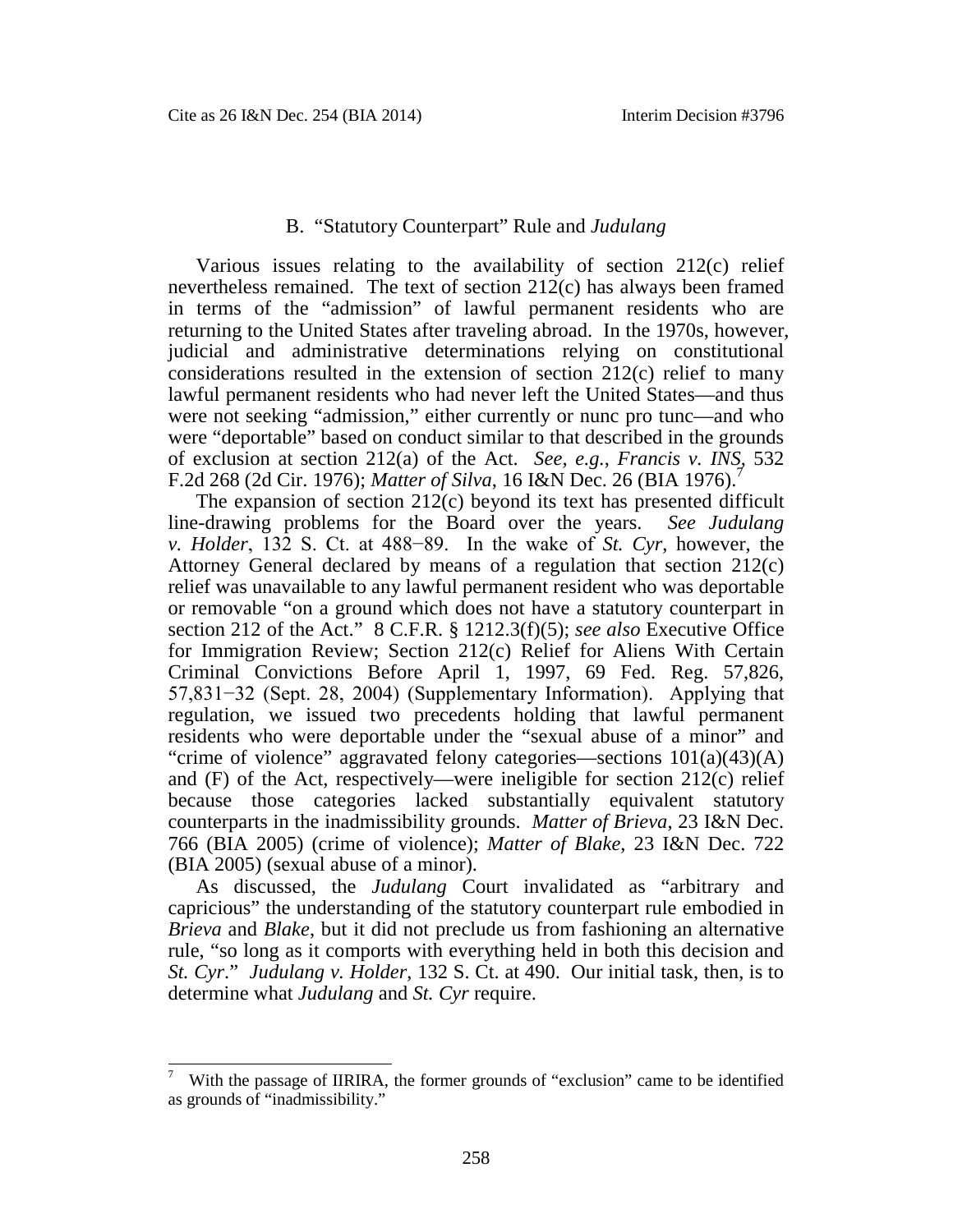# B. "Statutory Counterpart" Rule and *Judulang*

Various issues relating to the availability of section 212(c) relief nevertheless remained. The text of section 212(c) has always been framed in terms of the "admission" of lawful permanent residents who are returning to the United States after traveling abroad. In the 1970s, however, judicial and administrative determinations relying on constitutional considerations resulted in the extension of section 212(c) relief to many lawful permanent residents who had never left the United States—and thus were not seeking "admission," either currently or nunc pro tunc—and who were "deportable" based on conduct similar to that described in the grounds of exclusion at section 212(a) of the Act. *See, e.g.*, *Francis v. INS*, 532 F.2d 268 (2d Cir. 1976); *Matter of Silva*, 16 I&N Dec. 26 (BIA 1976).<sup>7</sup>

The expansion of section 212(c) beyond its text has presented difficult line-drawing problems for the Board over the years. *See Judulang v. Holder*, 132 S. Ct. at 488−89. In the wake of *St. Cyr*, however, the Attorney General declared by means of a regulation that section 212(c) relief was unavailable to any lawful permanent resident who was deportable or removable "on a ground which does not have a statutory counterpart in section 212 of the Act." 8 C.F.R. § 1212.3(f)(5); *see also* Executive Office for Immigration Review; Section 212(c) Relief for Aliens With Certain Criminal Convictions Before April 1, 1997, 69 Fed. Reg. 57,826, 57,831−32 (Sept. 28, 2004) (Supplementary Information). Applying that regulation, we issued two precedents holding that lawful permanent residents who were deportable under the "sexual abuse of a minor" and "crime of violence" aggravated felony categories—sections 101(a)(43)(A) and (F) of the Act, respectively—were ineligible for section 212(c) relief because those categories lacked substantially equivalent statutory counterparts in the inadmissibility grounds. *Matter of Brieva*, 23 I&N Dec. 766 (BIA 2005) (crime of violence); *Matter of Blake*, 23 I&N Dec. 722 (BIA 2005) (sexual abuse of a minor).

As discussed, the *Judulang* Court invalidated as "arbitrary and capricious" the understanding of the statutory counterpart rule embodied in *Brieva* and *Blake*, but it did not preclude us from fashioning an alternative rule, "so long as it comports with everything held in both this decision and *St. Cyr*." *Judulang v. Holder*, 132 S. Ct. at 490. Our initial task, then, is to determine what *Judulang* and *St. Cyr* require.

With the passage of IIRIRA, the former grounds of "exclusion" came to be identified as grounds of "inadmissibility."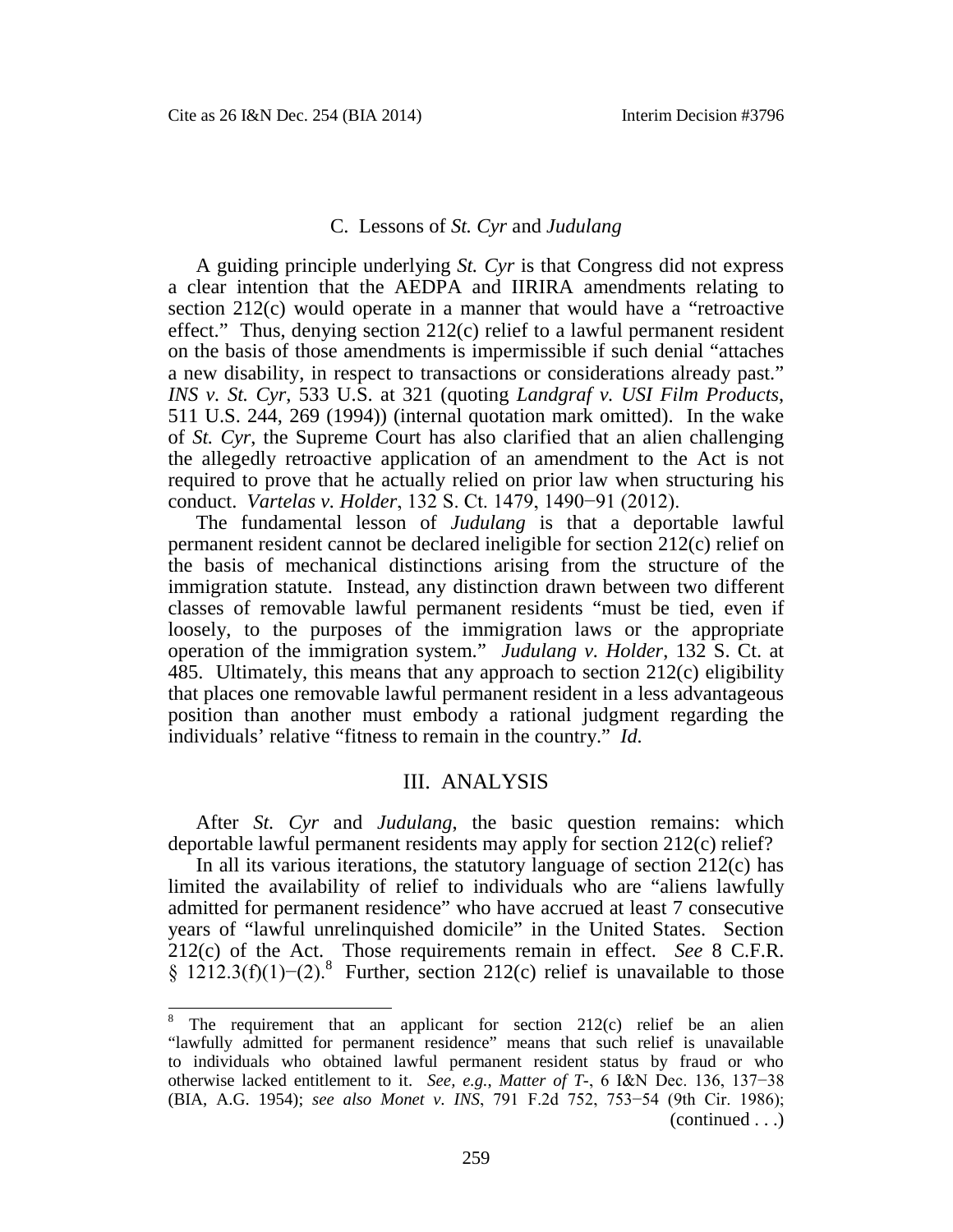#### C. Lessons of *St. Cyr* and *Judulang*

A guiding principle underlying *St. Cyr* is that Congress did not express a clear intention that the AEDPA and IIRIRA amendments relating to section 212(c) would operate in a manner that would have a "retroactive effect." Thus, denying section 212(c) relief to a lawful permanent resident on the basis of those amendments is impermissible if such denial "attaches a new disability, in respect to transactions or considerations already past." *INS v. St. Cyr*, 533 U.S. at 321 (quoting *Landgraf v. USI Film Products*, 511 U.S. 244, 269 (1994)) (internal quotation mark omitted). In the wake of *St. Cyr*, the Supreme Court has also clarified that an alien challenging the allegedly retroactive application of an amendment to the Act is not required to prove that he actually relied on prior law when structuring his conduct. *Vartelas v. Holder*, 132 S. Ct. 1479, 1490−91 (2012).

The fundamental lesson of *Judulang* is that a deportable lawful permanent resident cannot be declared ineligible for section 212(c) relief on the basis of mechanical distinctions arising from the structure of the immigration statute. Instead, any distinction drawn between two different classes of removable lawful permanent residents "must be tied, even if loosely, to the purposes of the immigration laws or the appropriate operation of the immigration system." *Judulang v. Holder*, 132 S. Ct. at 485. Ultimately, this means that any approach to section 212(c) eligibility that places one removable lawful permanent resident in a less advantageous position than another must embody a rational judgment regarding the individuals' relative "fitness to remain in the country." *Id.*

#### III. ANALYSIS

After *St. Cyr* and *Judulang*, the basic question remains: which deportable lawful permanent residents may apply for section 212(c) relief?

In all its various iterations, the statutory language of section 212(c) has limited the availability of relief to individuals who are "aliens lawfully admitted for permanent residence" who have accrued at least 7 consecutive years of "lawful unrelinquished domicile" in the United States. Section 212(c) of the Act. Those requirements remain in effect. *See* 8 C.F.R.  $\S 1212.3(f)(1)$ -(2).<sup>8</sup> [F](#page-5-0)urther, section 212(c) relief is unavailable to those

<span id="page-5-0"></span>The requirement that an applicant for section  $212(c)$  relief be an alien "lawfully admitted for permanent residence" means that such relief is unavailable to individuals who obtained lawful permanent resident status by fraud or who otherwise lacked entitlement to it. *See, e.g.*, *Matter of T-*, 6 I&N Dec. 136, 137−38 (BIA, A.G. 1954); *see also Monet v. INS*, 791 F.2d 752, 753−54 (9th Cir. 1986); (continued . . .)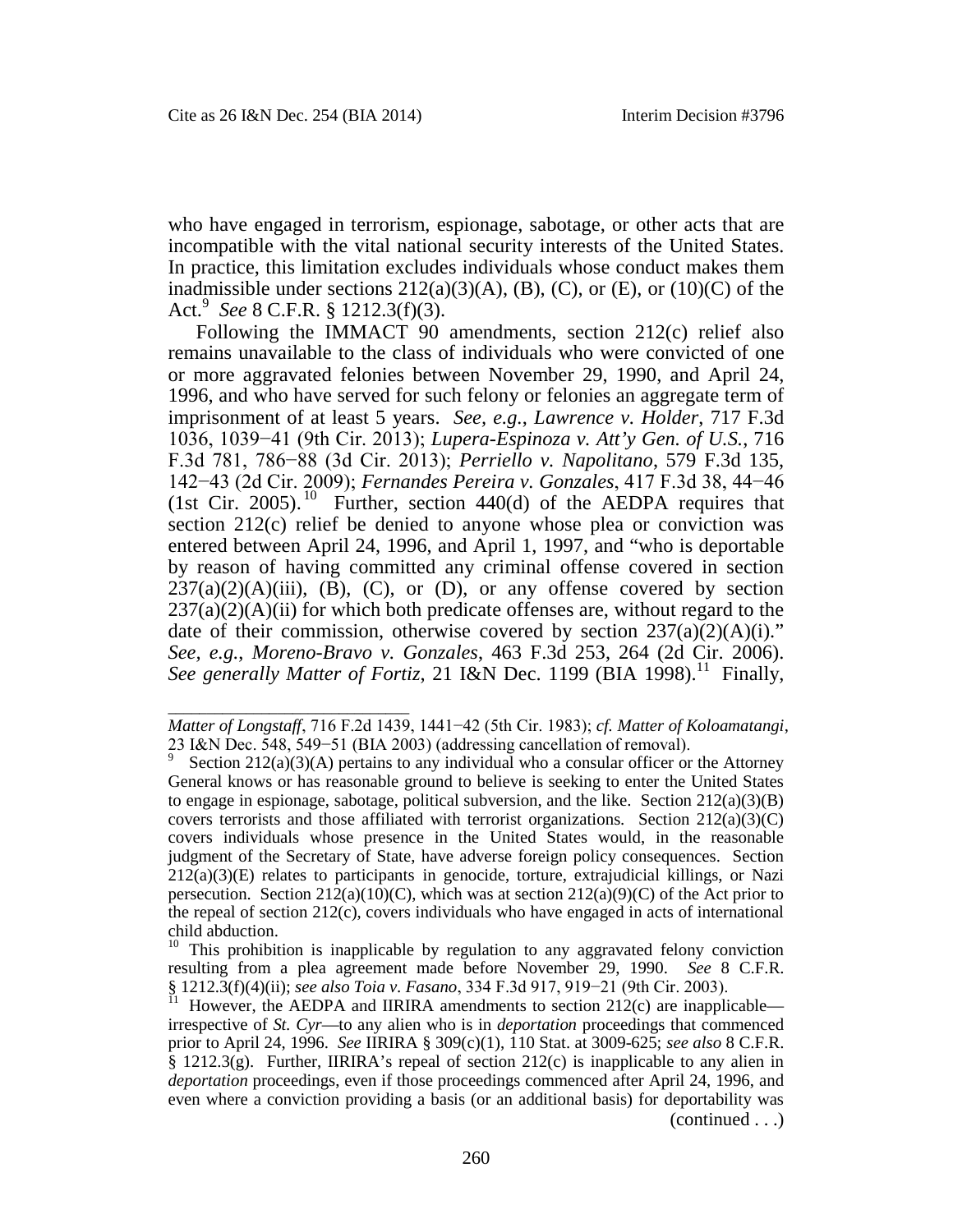\_\_\_\_\_\_\_\_\_\_\_\_\_\_\_\_\_\_\_\_\_\_\_\_\_\_\_\_\_\_\_

who have engaged in terrorism, espionage, sabotage, or other acts that are incompatible with the vital national security interests of the United States. In practice, this limitation excludes individuals whose conduct makes them inadmissible under sections  $212(a)(3)(A)$ , (B), (C), or (E), or  $(10)(C)$  of the Act.[9](#page-6-0) *See* 8 C.F.R. § 1212.3(f)(3).

Following the IMMACT 90 amendments, section 212(c) relief also remains unavailable to the class of individuals who were convicted of one or more aggravated felonies between November 29, 1990, and April 24, 1996, and who have served for such felony or felonies an aggregate term of imprisonment of at least 5 years. *See, e.g.*, *Lawrence v. Holder*, 717 F.3d 1036, 1039−41 (9th Cir. 2013); *Lupera-Espinoza v. Att'y Gen. of U.S.*, 716 F.3d 781, 786−88 (3d Cir. 2013); *Perriello v. Napolitano*, 579 F.3d 135, 142−43 (2d Cir. 2009); *Fernandes Pereira v. Gonzales*, 417 F.3d 38, 44−46 (1st Cir. 2005).<sup>[10](#page-6-1)</sup> Further, section 440(d) of the AEDPA requires that section 212(c) relief be denied to anyone whose plea or conviction was entered between April 24, 1996, and April 1, 1997, and "who is deportable by reason of having committed any criminal offense covered in section  $237(a)(2)(A)(iii)$ , (B), (C), or (D), or any offense covered by section  $237(a)(2)(A)(ii)$  for which both predicate offenses are, without regard to the date of their commission, otherwise covered by section  $237(a)(2)(A)(i)$ ." *See, e.g.*, *Moreno-Bravo v. Gonzales*, 463 F.3d 253, 264 (2d Cir. 2006). *See generally Matter of Fortiz*, 21 I&N Dec. [11](#page-6-2)99 (BIA 1998).<sup>11</sup> Finally,

*Matter of Longstaff*, 716 F.2d 1439, 1441−42 (5th Cir. 1983); *cf. Matter of Koloamatangi*, 23 I&N Dec. 548, 549−51 (BIA 2003) (addressing cancellation of removal).

<span id="page-6-0"></span><sup>9</sup> Section  $212(a)(3)(A)$  pertains to any individual who a consular officer or the Attorney General knows or has reasonable ground to believe is seeking to enter the United States to engage in espionage, sabotage, political subversion, and the like. Section  $212(a)(3)(B)$ covers terrorists and those affiliated with terrorist organizations. Section  $212(a)(3)(C)$ covers individuals whose presence in the United States would, in the reasonable judgment of the Secretary of State, have adverse foreign policy consequences. Section 212(a)(3)(E) relates to participants in genocide, torture, extrajudicial killings, or Nazi persecution. Section  $212(a)(10)(C)$ , which was at section  $212(a)(9)(C)$  of the Act prior to the repeal of section 212(c), covers individuals who have engaged in acts of international child abduction.

<span id="page-6-1"></span>This prohibition is inapplicable by regulation to any aggravated felony conviction resulting from a plea agreement made before November 29, 1990. *See* 8 C.F.R. § 1212.3(f)(4)(ii); *see also Toia v. Fasano*, 334 F.3d 917, 919−21 (9th Cir. 2003).

<span id="page-6-2"></span><sup>&</sup>lt;sup>11</sup> However, the AEDPA and IIRIRA amendments to section 212(c) are inapplicable irrespective of *St. Cyr*—to any alien who is in *deportation* proceedings that commenced prior to April 24, 1996. *See* IIRIRA § 309(c)(1), 110 Stat. at 3009-625; *see also* 8 C.F.R.  $\S$  1212.3(g). Further, IIRIRA's repeal of section 212(c) is inapplicable to any alien in *deportation* proceedings, even if those proceedings commenced after April 24, 1996, and even where a conviction providing a basis (or an additional basis) for deportability was (continued . . .)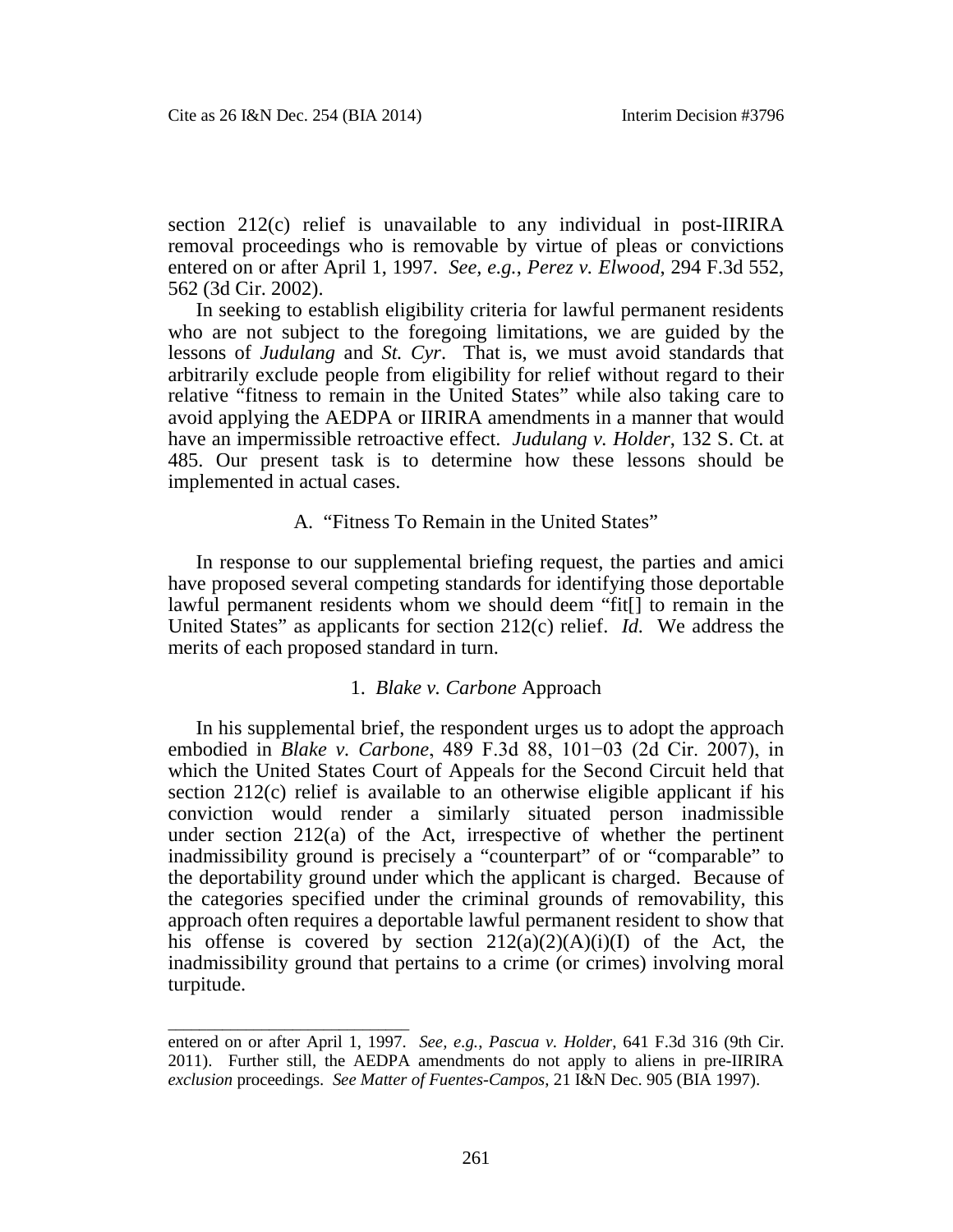\_\_\_\_\_\_\_\_\_\_\_\_\_\_\_\_\_\_\_\_\_\_\_\_\_\_\_\_\_\_\_

section 212(c) relief is unavailable to any individual in post-IIRIRA removal proceedings who is removable by virtue of pleas or convictions entered on or after April 1, 1997. *See, e.g.*, *Perez v. Elwood*, 294 F.3d 552, 562 (3d Cir. 2002).

In seeking to establish eligibility criteria for lawful permanent residents who are not subject to the foregoing limitations, we are guided by the lessons of *Judulang* and *St. Cyr*. That is, we must avoid standards that arbitrarily exclude people from eligibility for relief without regard to their relative "fitness to remain in the United States" while also taking care to avoid applying the AEDPA or IIRIRA amendments in a manner that would have an impermissible retroactive effect. *Judulang v. Holder*, 132 S. Ct. at 485. Our present task is to determine how these lessons should be implemented in actual cases.

## A. "Fitness To Remain in the United States"

In response to our supplemental briefing request, the parties and amici have proposed several competing standards for identifying those deportable lawful permanent residents whom we should deem "fit[] to remain in the United States" as applicants for section 212(c) relief. *Id.* We address the merits of each proposed standard in turn.

#### 1. *Blake v. Carbone* Approach

In his supplemental brief, the respondent urges us to adopt the approach embodied in *Blake v. Carbone*, 489 F.3d 88, 101−03 (2d Cir. 2007), in which the United States Court of Appeals for the Second Circuit held that section 212(c) relief is available to an otherwise eligible applicant if his conviction would render a similarly situated person inadmissible under section 212(a) of the Act, irrespective of whether the pertinent inadmissibility ground is precisely a "counterpart" of or "comparable" to the deportability ground under which the applicant is charged. Because of the categories specified under the criminal grounds of removability, this approach often requires a deportable lawful permanent resident to show that his offense is covered by section  $212(a)(2)(A)(i)(I)$  of the Act, the inadmissibility ground that pertains to a crime (or crimes) involving moral turpitude.

entered on or after April 1, 1997. *See, e.g.*, *Pascua v. Holder*, 641 F.3d 316 (9th Cir. 2011). Further still, the AEDPA amendments do not apply to aliens in pre-IIRIRA *exclusion* proceedings. *See Matter of Fuentes-Campos*, 21 I&N Dec. 905 (BIA 1997).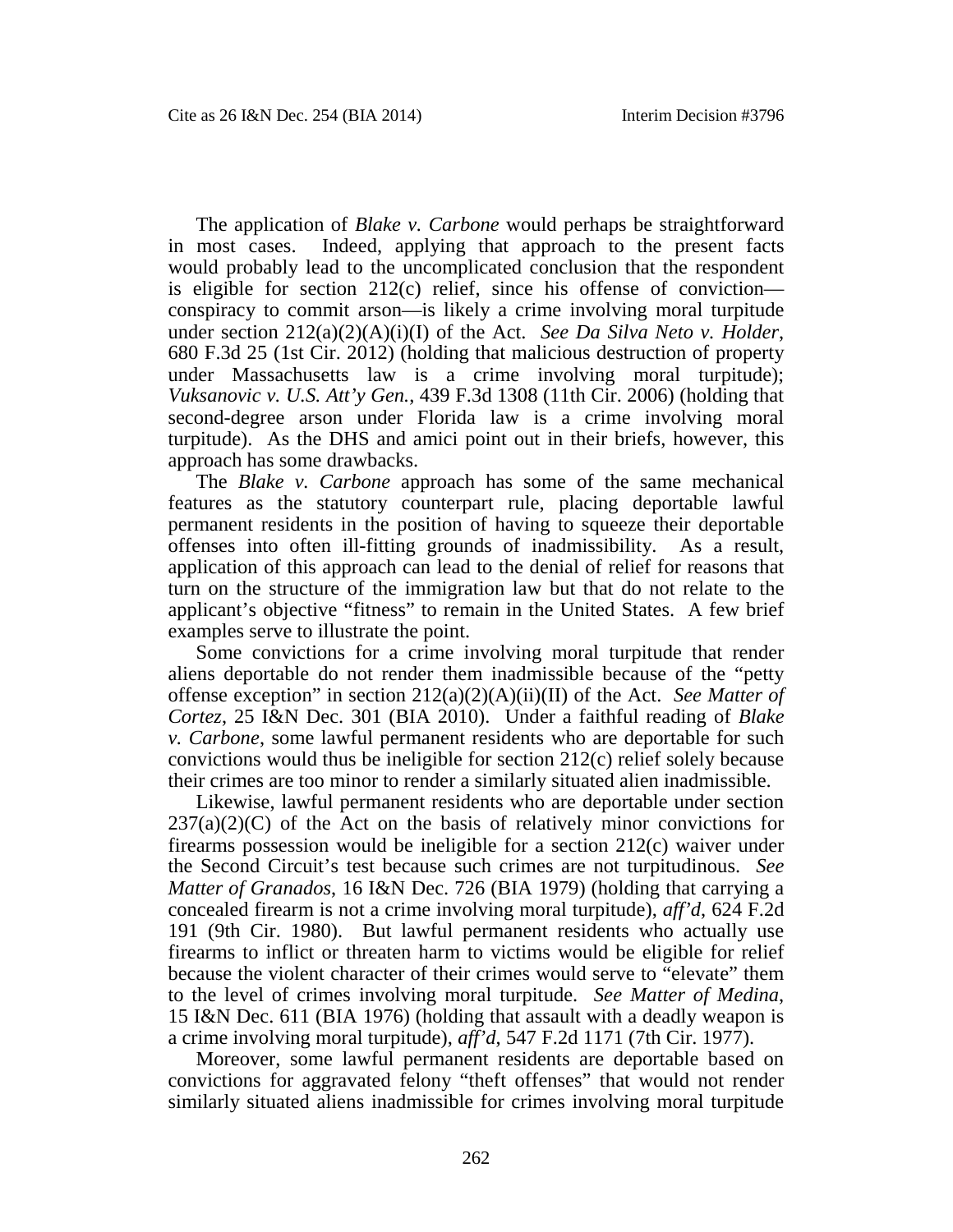The application of *Blake v. Carbone* would perhaps be straightforward in most cases. Indeed, applying that approach to the present facts would probably lead to the uncomplicated conclusion that the respondent is eligible for section 212(c) relief, since his offense of conviction conspiracy to commit arson—is likely a crime involving moral turpitude under section 212(a)(2)(A)(i)(I) of the Act. *See Da Silva Neto v. Holder*, 680 F.3d 25 (1st Cir. 2012) (holding that malicious destruction of property under Massachusetts law is a crime involving moral turpitude); *Vuksanovic v. U.S. Att'y Gen.*, 439 F.3d 1308 (11th Cir. 2006) (holding that second-degree arson under Florida law is a crime involving moral turpitude). As the DHS and amici point out in their briefs, however, this approach has some drawbacks.

The *Blake v. Carbone* approach has some of the same mechanical features as the statutory counterpart rule, placing deportable lawful permanent residents in the position of having to squeeze their deportable offenses into often ill-fitting grounds of inadmissibility. As a result, application of this approach can lead to the denial of relief for reasons that turn on the structure of the immigration law but that do not relate to the applicant's objective "fitness" to remain in the United States. A few brief examples serve to illustrate the point.

Some convictions for a crime involving moral turpitude that render aliens deportable do not render them inadmissible because of the "petty offense exception" in section 212(a)(2)(A)(ii)(II) of the Act. *See Matter of Cortez*, 25 I&N Dec. 301 (BIA 2010). Under a faithful reading of *Blake v. Carbone*, some lawful permanent residents who are deportable for such convictions would thus be ineligible for section 212(c) relief solely because their crimes are too minor to render a similarly situated alien inadmissible.

Likewise, lawful permanent residents who are deportable under section  $237(a)(2)(C)$  of the Act on the basis of relatively minor convictions for firearms possession would be ineligible for a section 212(c) waiver under the Second Circuit's test because such crimes are not turpitudinous. *See Matter of Granados*, 16 I&N Dec. 726 (BIA 1979) (holding that carrying a concealed firearm is not a crime involving moral turpitude), *aff'd*, 624 F.2d 191 (9th Cir. 1980). But lawful permanent residents who actually use firearms to inflict or threaten harm to victims would be eligible for relief because the violent character of their crimes would serve to "elevate" them to the level of crimes involving moral turpitude. *See Matter of Medina*, 15 I&N Dec. 611 (BIA 1976) (holding that assault with a deadly weapon is a crime involving moral turpitude), *aff'd*, 547 F.2d 1171 (7th Cir. 1977).

Moreover, some lawful permanent residents are deportable based on convictions for aggravated felony "theft offenses" that would not render similarly situated aliens inadmissible for crimes involving moral turpitude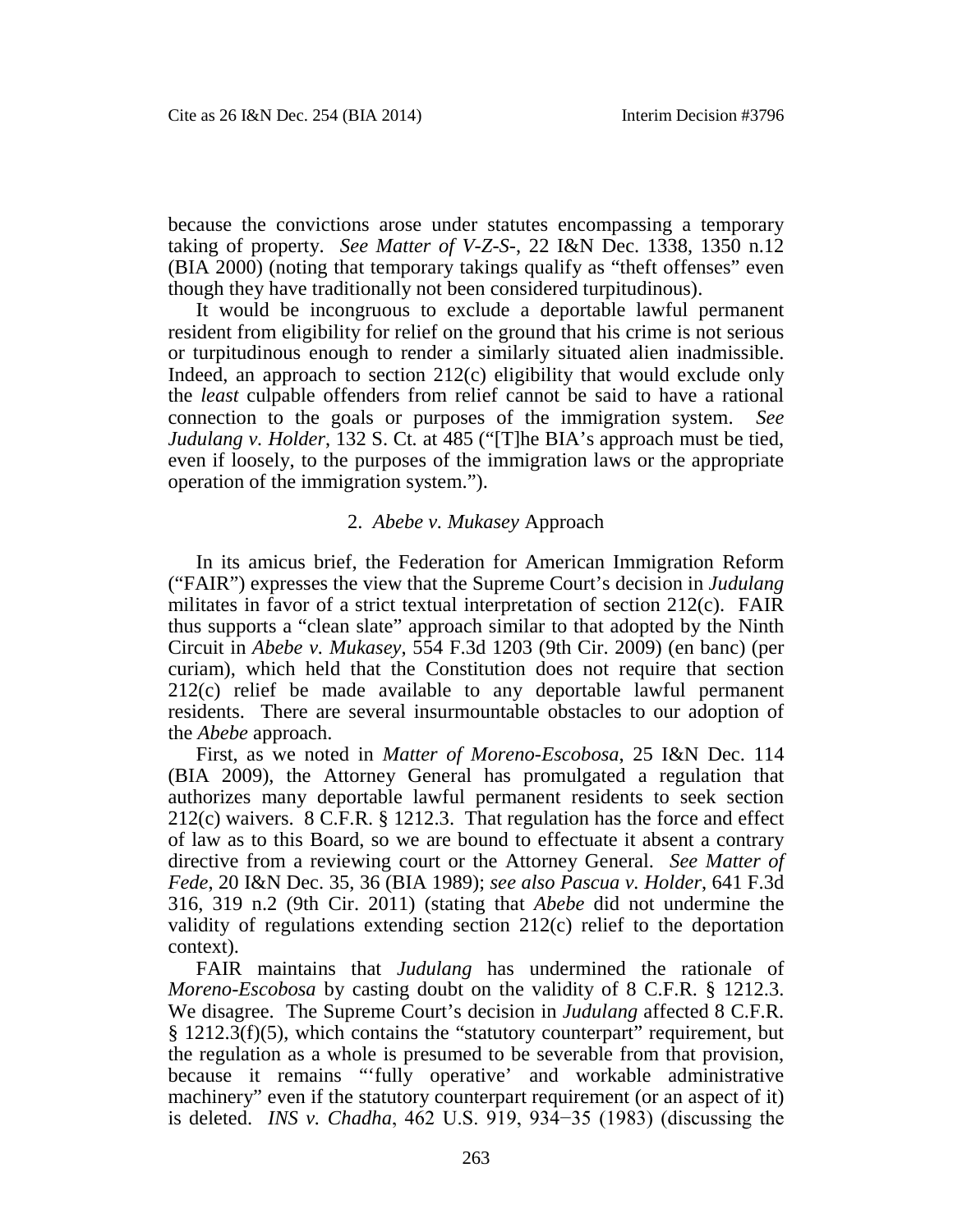because the convictions arose under statutes encompassing a temporary taking of property. *See Matter of V-Z-S-*, 22 I&N Dec. 1338, 1350 n.12 (BIA 2000) (noting that temporary takings qualify as "theft offenses" even though they have traditionally not been considered turpitudinous).

It would be incongruous to exclude a deportable lawful permanent resident from eligibility for relief on the ground that his crime is not serious or turpitudinous enough to render a similarly situated alien inadmissible. Indeed, an approach to section 212(c) eligibility that would exclude only the *least* culpable offenders from relief cannot be said to have a rational connection to the goals or purposes of the immigration system. *See Judulang v. Holder*, 132 S. Ct*.* at 485 ("[T]he BIA's approach must be tied, even if loosely, to the purposes of the immigration laws or the appropriate operation of the immigration system.").

## 2. *Abebe v. Mukasey* Approach

In its amicus brief, the Federation for American Immigration Reform ("FAIR") expresses the view that the Supreme Court's decision in *Judulang* militates in favor of a strict textual interpretation of section 212(c). FAIR thus supports a "clean slate" approach similar to that adopted by the Ninth Circuit in *Abebe v. Mukasey*, 554 F.3d 1203 (9th Cir. 2009) (en banc) (per curiam), which held that the Constitution does not require that section 212(c) relief be made available to any deportable lawful permanent residents. There are several insurmountable obstacles to our adoption of the *Abebe* approach.

First, as we noted in *Matter of Moreno-Escobosa*, 25 I&N Dec. 114 (BIA 2009), the Attorney General has promulgated a regulation that authorizes many deportable lawful permanent residents to seek section 212(c) waivers. 8 C.F.R. § 1212.3. That regulation has the force and effect of law as to this Board, so we are bound to effectuate it absent a contrary directive from a reviewing court or the Attorney General. *See Matter of Fede*, 20 I&N Dec. 35, 36 (BIA 1989); *see also Pascua v. Holder*, 641 F.3d 316, 319 n.2 (9th Cir. 2011) (stating that *Abebe* did not undermine the validity of regulations extending section 212(c) relief to the deportation context).

FAIR maintains that *Judulang* has undermined the rationale of *Moreno-Escobosa* by casting doubt on the validity of 8 C.F.R. § 1212.3. We disagree. The Supreme Court's decision in *Judulang* affected 8 C.F.R.  $§$  1212.3(f)(5), which contains the "statutory counterpart" requirement, but the regulation as a whole is presumed to be severable from that provision, because it remains "'fully operative' and workable administrative machinery" even if the statutory counterpart requirement (or an aspect of it) is deleted. *INS v. Chadha*, 462 U.S. 919, 934−35 (1983) (discussing the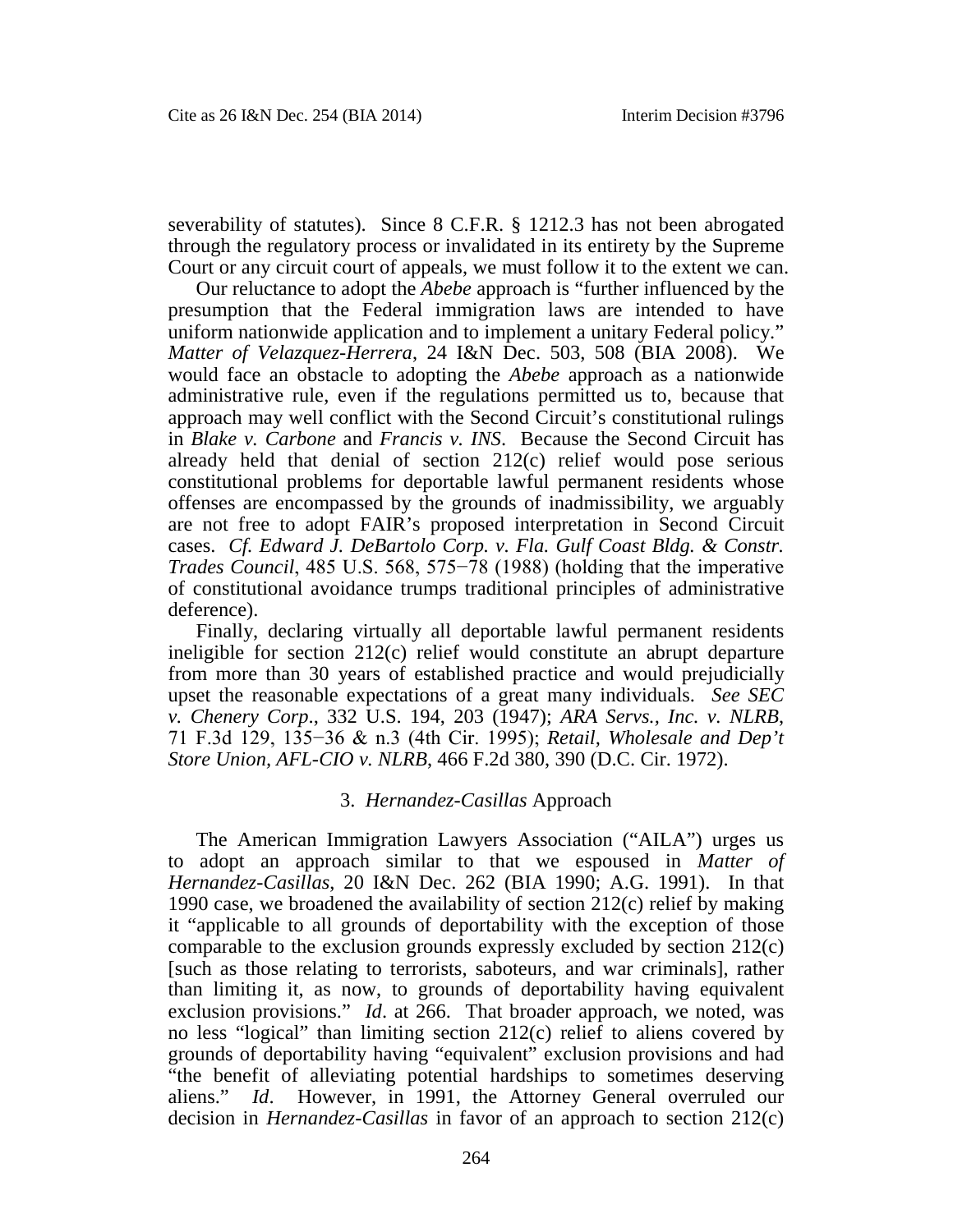severability of statutes). Since 8 C.F.R. § 1212.3 has not been abrogated through the regulatory process or invalidated in its entirety by the Supreme Court or any circuit court of appeals, we must follow it to the extent we can.

Our reluctance to adopt the *Abebe* approach is "further influenced by the presumption that the Federal immigration laws are intended to have uniform nationwide application and to implement a unitary Federal policy." *Matter of Velazquez-Herrera*, 24 I&N Dec. 503, 508 (BIA 2008). We would face an obstacle to adopting the *Abebe* approach as a nationwide administrative rule, even if the regulations permitted us to, because that approach may well conflict with the Second Circuit's constitutional rulings in *Blake v. Carbone* and *Francis v. INS*. Because the Second Circuit has already held that denial of section 212(c) relief would pose serious constitutional problems for deportable lawful permanent residents whose offenses are encompassed by the grounds of inadmissibility, we arguably are not free to adopt FAIR's proposed interpretation in Second Circuit cases. *Cf. Edward J. DeBartolo Corp. v. Fla. Gulf Coast Bldg. & Constr. Trades Council*, 485 U.S. 568, 575−78 (1988) (holding that the imperative of constitutional avoidance trumps traditional principles of administrative deference).

Finally, declaring virtually all deportable lawful permanent residents ineligible for section 212(c) relief would constitute an abrupt departure from more than 30 years of established practice and would prejudicially upset the reasonable expectations of a great many individuals. *See SEC v. Chenery Corp*., 332 U.S. 194, 203 (1947); *ARA Servs., Inc. v. NLRB*, 71 F.3d 129, 135−36 & n.3 (4th Cir. 1995); *Retail, Wholesale and Dep't Store Union, AFL-CIO v. NLRB*, 466 F.2d 380, 390 (D.C. Cir. 1972).

## 3. *Hernandez-Casillas* Approach

The American Immigration Lawyers Association ("AILA") urges us to adopt an approach similar to that we espoused in *Matter of Hernandez-Casillas*, 20 I&N Dec. 262 (BIA 1990; A.G. 1991). In that 1990 case, we broadened the availability of section 212(c) relief by making it "applicable to all grounds of deportability with the exception of those comparable to the exclusion grounds expressly excluded by section 212(c) [such as those relating to terrorists, saboteurs, and war criminals], rather than limiting it, as now, to grounds of deportability having equivalent exclusion provisions." *Id*. at 266. That broader approach, we noted, was no less "logical" than limiting section 212(c) relief to aliens covered by grounds of deportability having "equivalent" exclusion provisions and had "the benefit of alleviating potential hardships to sometimes deserving aliens." *Id*. However, in 1991, the Attorney General overruled our decision in *Hernandez-Casillas* in favor of an approach to section 212(c)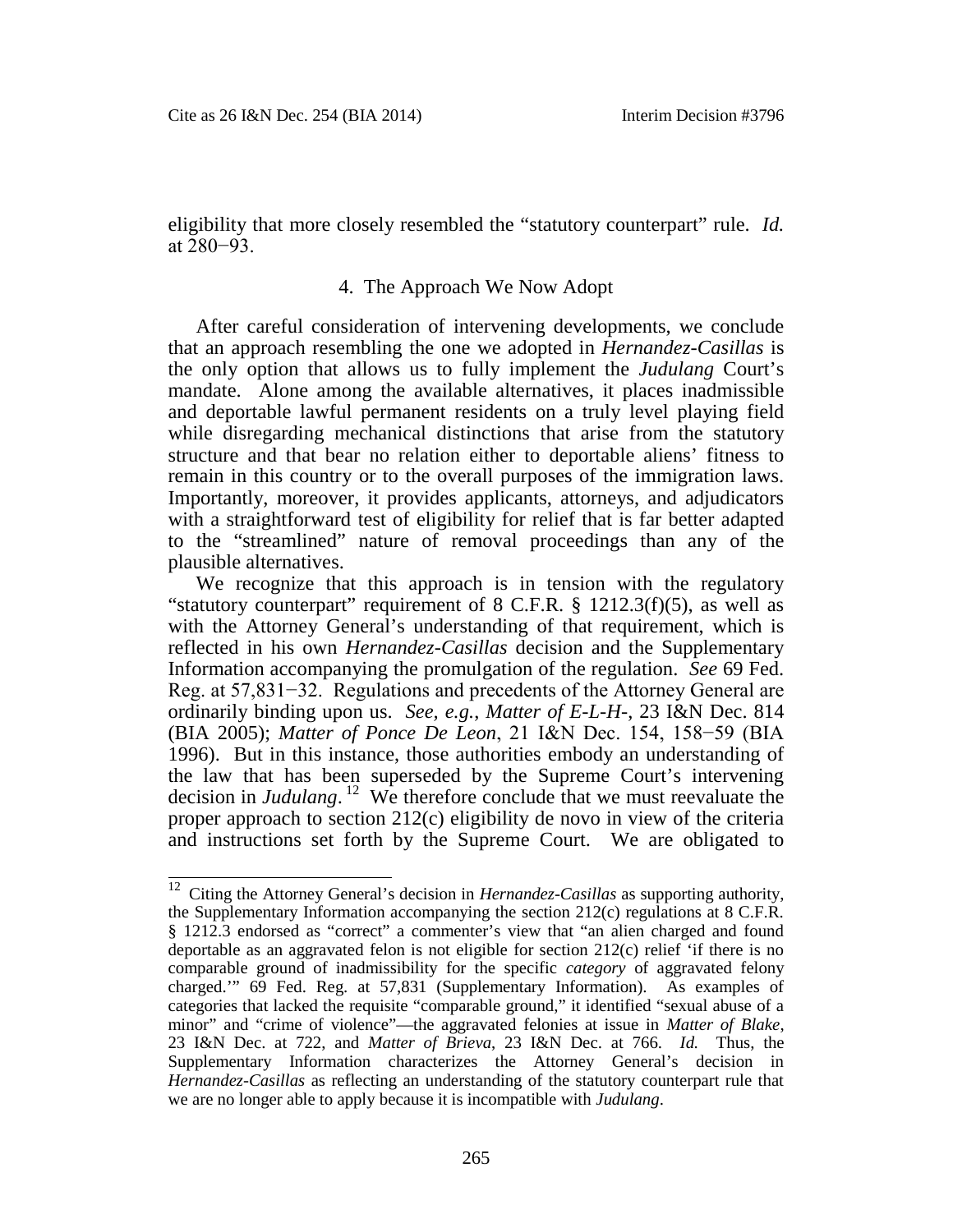eligibility that more closely resembled the "statutory counterpart" rule. *Id.* at 280−93.

#### 4. The Approach We Now Adopt

After careful consideration of intervening developments, we conclude that an approach resembling the one we adopted in *Hernandez-Casillas* is the only option that allows us to fully implement the *Judulang* Court's mandate. Alone among the available alternatives, it places inadmissible and deportable lawful permanent residents on a truly level playing field while disregarding mechanical distinctions that arise from the statutory structure and that bear no relation either to deportable aliens' fitness to remain in this country or to the overall purposes of the immigration laws. Importantly, moreover, it provides applicants, attorneys, and adjudicators with a straightforward test of eligibility for relief that is far better adapted to the "streamlined" nature of removal proceedings than any of the plausible alternatives.

We recognize that this approach is in tension with the regulatory "statutory counterpart" requirement of  $8$  C.F.R.  $\S$  1212.3(f)(5), as well as with the Attorney General's understanding of that requirement, which is reflected in his own *Hernandez-Casillas* decision and the Supplementary Information accompanying the promulgation of the regulation. *See* 69 Fed. Reg. at 57,831−32. Regulations and precedents of the Attorney General are ordinarily binding upon us. *See, e.g.*, *Matter of E-L-H-*, 23 I&N Dec. 814 (BIA 2005); *Matter of Ponce De Leon*, 21 I&N Dec. 154, 158−59 (BIA 1996). But in this instance, those authorities embody an understanding of the law that has been superseded by the Supreme Court's intervening decision in *Judulang*. [12](#page-11-0) We therefore conclude that we must reevaluate the proper approach to section 212(c) eligibility de novo in view of the criteria and instructions set forth by the Supreme Court. We are obligated to

<span id="page-11-0"></span><sup>&</sup>lt;sup>12</sup> Citing the Attorney General's decision in *Hernandez-Casillas* as supporting authority, the Supplementary Information accompanying the section 212(c) regulations at 8 C.F.R. § 1212.3 endorsed as "correct" a commenter's view that "an alien charged and found deportable as an aggravated felon is not eligible for section 212(c) relief 'if there is no comparable ground of inadmissibility for the specific *category* of aggravated felony charged.'" 69 Fed. Reg. at 57,831 (Supplementary Information). As examples of categories that lacked the requisite "comparable ground," it identified "sexual abuse of a minor" and "crime of violence"—the aggravated felonies at issue in *Matter of Blake*, 23 I&N Dec. at 722, and *Matter of Brieva*, 23 I&N Dec. at 766. *Id.* Thus, the Supplementary Information characterizes the Attorney General's decision in *Hernandez-Casillas* as reflecting an understanding of the statutory counterpart rule that we are no longer able to apply because it is incompatible with *Judulang*.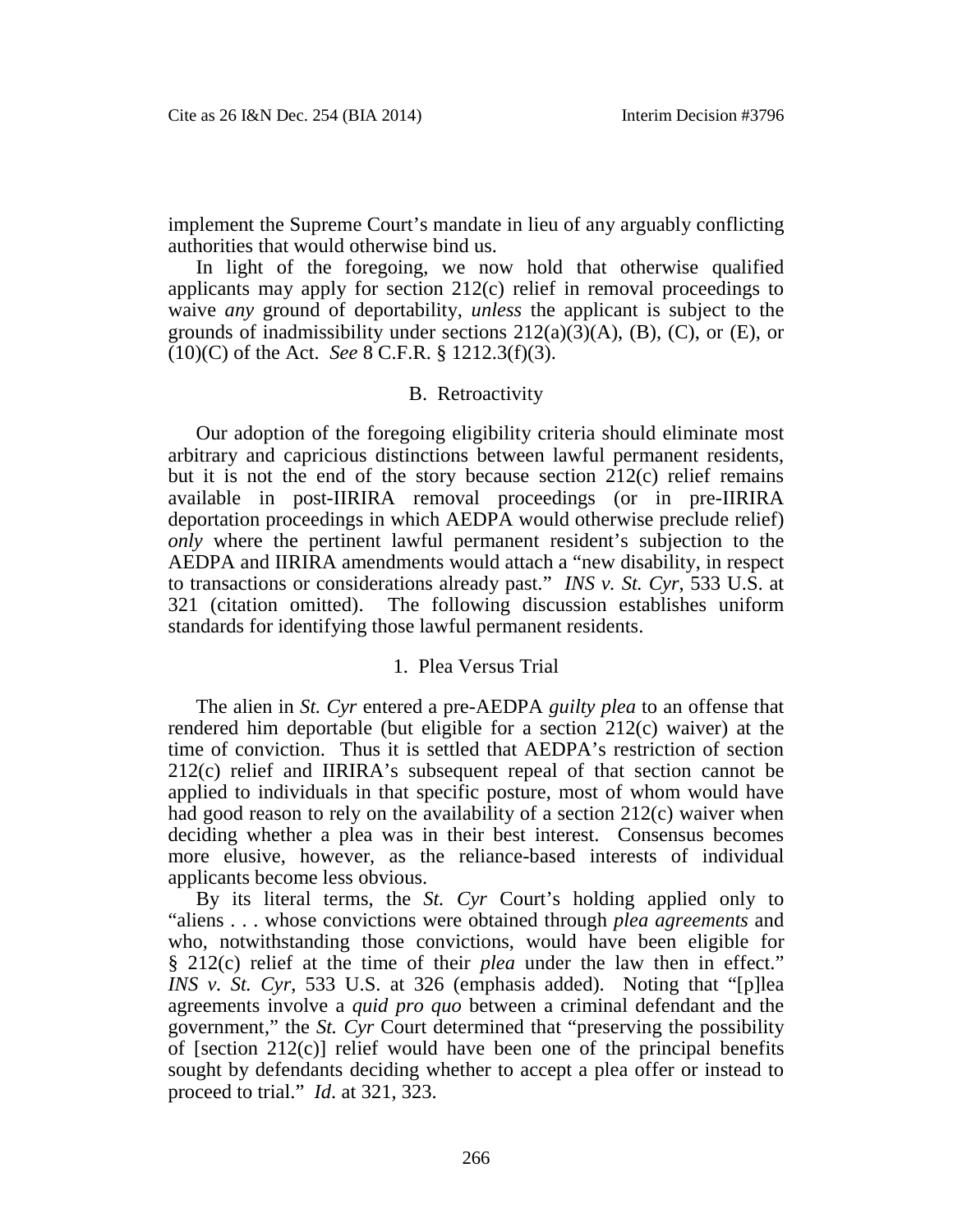implement the Supreme Court's mandate in lieu of any arguably conflicting authorities that would otherwise bind us.

In light of the foregoing, we now hold that otherwise qualified applicants may apply for section 212(c) relief in removal proceedings to waive *any* ground of deportability, *unless* the applicant is subject to the grounds of inadmissibility under sections  $212(a)(3)(A)$ , (B), (C), or (E), or (10)(C) of the Act. *See* 8 C.F.R. § 1212.3(f)(3).

#### B. Retroactivity

Our adoption of the foregoing eligibility criteria should eliminate most arbitrary and capricious distinctions between lawful permanent residents, but it is not the end of the story because section  $212(c)$  relief remains available in post-IIRIRA removal proceedings (or in pre-IIRIRA deportation proceedings in which AEDPA would otherwise preclude relief) *only* where the pertinent lawful permanent resident's subjection to the AEDPA and IIRIRA amendments would attach a "new disability, in respect to transactions or considerations already past." *INS v. St. Cyr*, 533 U.S. at 321 (citation omitted). The following discussion establishes uniform standards for identifying those lawful permanent residents.

#### 1. Plea Versus Trial

The alien in *St. Cyr* entered a pre-AEDPA *guilty plea* to an offense that rendered him deportable (but eligible for a section 212(c) waiver) at the time of conviction. Thus it is settled that AEDPA's restriction of section 212(c) relief and IIRIRA's subsequent repeal of that section cannot be applied to individuals in that specific posture, most of whom would have had good reason to rely on the availability of a section 212(c) waiver when deciding whether a plea was in their best interest. Consensus becomes more elusive, however, as the reliance-based interests of individual applicants become less obvious.

By its literal terms, the *St. Cyr* Court's holding applied only to "aliens . . . whose convictions were obtained through *plea agreements* and who, notwithstanding those convictions, would have been eligible for § 212(c) relief at the time of their *plea* under the law then in effect." *INS v. St. Cyr*, 533 U.S. at 326 (emphasis added). Noting that "[p]lea agreements involve a *quid pro quo* between a criminal defendant and the government," the *St. Cyr* Court determined that "preserving the possibility of [section 212(c)] relief would have been one of the principal benefits sought by defendants deciding whether to accept a plea offer or instead to proceed to trial." *Id*. at 321, 323.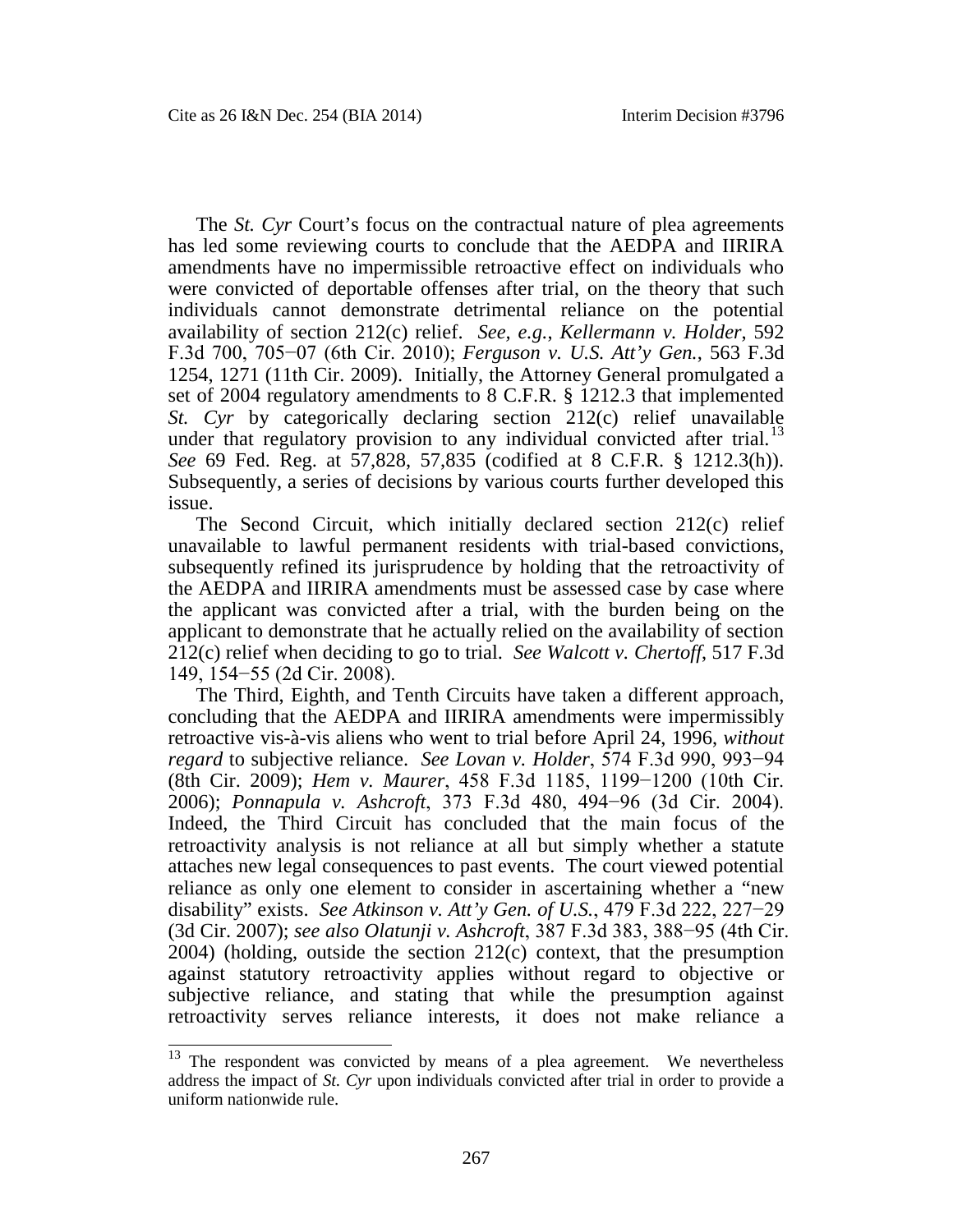The *St. Cyr* Court's focus on the contractual nature of plea agreements has led some reviewing courts to conclude that the AEDPA and IIRIRA amendments have no impermissible retroactive effect on individuals who were convicted of deportable offenses after trial, on the theory that such individuals cannot demonstrate detrimental reliance on the potential availability of section 212(c) relief. *See, e.g.*, *Kellermann v. Holder*, 592 F.3d 700, 705−07 (6th Cir. 2010); *Ferguson v. U.S. Att'y Gen.*, 563 F.3d 1254, 1271 (11th Cir. 2009). Initially, the Attorney General promulgated a set of 2004 regulatory amendments to 8 C.F.R. § 1212.3 that implemented *St. Cyr* by categorically declaring section 212(c) relief unavailable underthat regulatory provision to any individual convicted after trial.<sup>13</sup> *See* 69 Fed. Reg. at 57,828, 57,835 (codified at 8 C.F.R. § 1212.3(h)). Subsequently, a series of decisions by various courts further developed this issue.

The Second Circuit, which initially declared section 212(c) relief unavailable to lawful permanent residents with trial-based convictions, subsequently refined its jurisprudence by holding that the retroactivity of the AEDPA and IIRIRA amendments must be assessed case by case where the applicant was convicted after a trial, with the burden being on the applicant to demonstrate that he actually relied on the availability of section 212(c) relief when deciding to go to trial. *See Walcott v. Chertoff*, 517 F.3d 149, 154−55 (2d Cir. 2008).

The Third, Eighth, and Tenth Circuits have taken a different approach, concluding that the AEDPA and IIRIRA amendments were impermissibly retroactive vis-à-vis aliens who went to trial before April 24, 1996, *without regard* to subjective reliance. *See Lovan v. Holder*, 574 F.3d 990, 993−94 (8th Cir. 2009); *Hem v. Maurer*, 458 F.3d 1185, 1199−1200 (10th Cir. 2006); *Ponnapula v. Ashcroft*, 373 F.3d 480, 494−96 (3d Cir. 2004). Indeed, the Third Circuit has concluded that the main focus of the retroactivity analysis is not reliance at all but simply whether a statute attaches new legal consequences to past events. The court viewed potential reliance as only one element to consider in ascertaining whether a "new disability" exists. *See Atkinson v. Att'y Gen. of U.S.*, 479 F.3d 222, 227−29 (3d Cir. 2007); *see also Olatunji v. Ashcroft*, 387 F.3d 383, 388−95 (4th Cir. 2004) (holding, outside the section 212(c) context, that the presumption against statutory retroactivity applies without regard to objective or subjective reliance, and stating that while the presumption against retroactivity serves reliance interests, it does not make reliance a

<span id="page-13-0"></span><sup>&</sup>lt;sup>13</sup> The respondent was convicted by means of a plea agreement. We nevertheless address the impact of *St. Cyr* upon individuals convicted after trial in order to provide a uniform nationwide rule.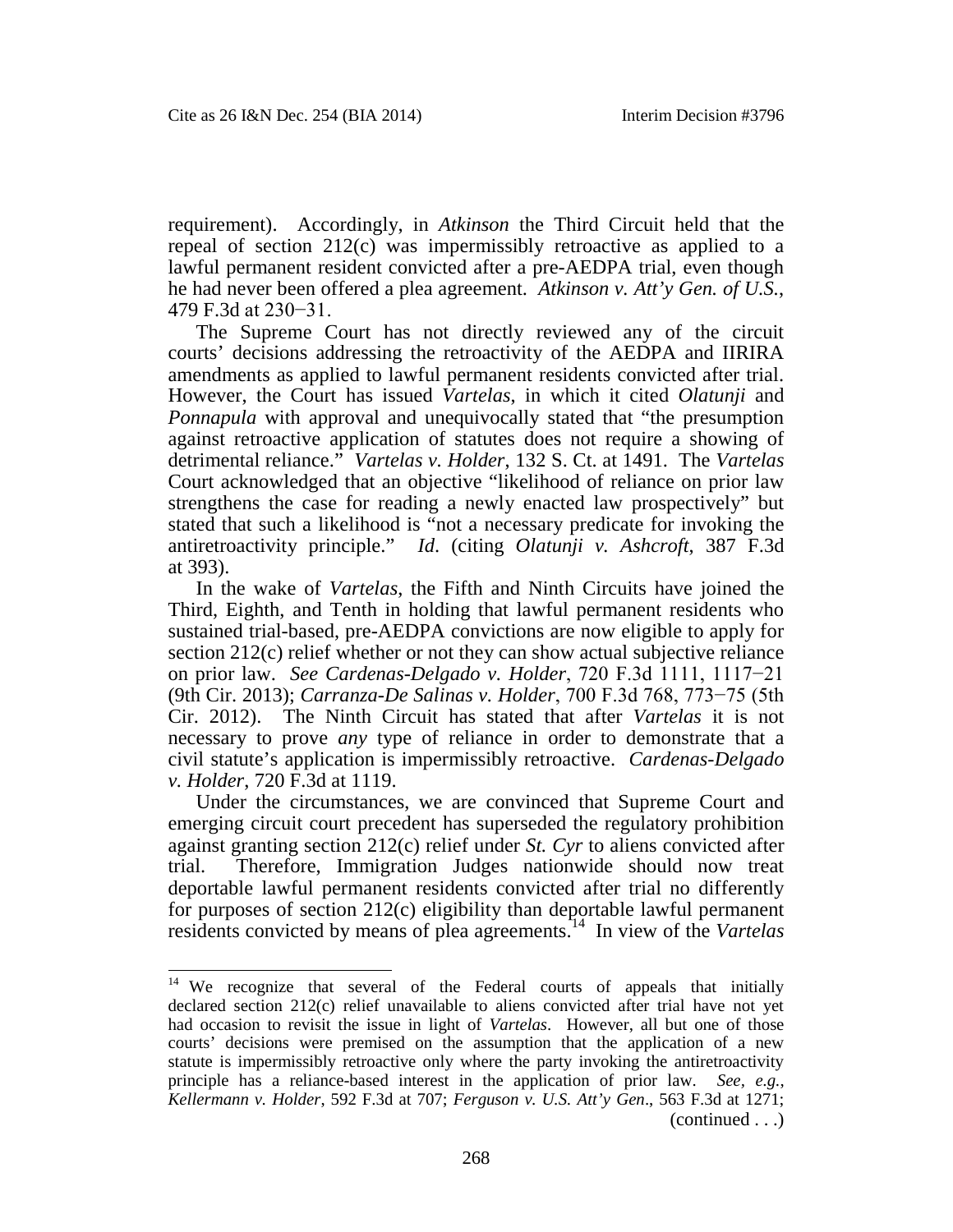requirement). Accordingly, in *Atkinson* the Third Circuit held that the repeal of section 212(c) was impermissibly retroactive as applied to a lawful permanent resident convicted after a pre-AEDPA trial, even though he had never been offered a plea agreement. *Atkinson v. Att'y Gen. of U.S.*, 479 F.3d at 230−31.

The Supreme Court has not directly reviewed any of the circuit courts' decisions addressing the retroactivity of the AEDPA and IIRIRA amendments as applied to lawful permanent residents convicted after trial. However, the Court has issued *Vartelas*, in which it cited *Olatunji* and *Ponnapula* with approval and unequivocally stated that "the presumption against retroactive application of statutes does not require a showing of detrimental reliance." *Vartelas v. Holder*, 132 S. Ct. at 1491. The *Vartelas* Court acknowledged that an objective "likelihood of reliance on prior law strengthens the case for reading a newly enacted law prospectively" but stated that such a likelihood is "not a necessary predicate for invoking the antiretroactivity principle." *Id*. (citing *Olatunji v. Ashcroft*, 387 F.3d at 393).

In the wake of *Vartelas*, the Fifth and Ninth Circuits have joined the Third, Eighth, and Tenth in holding that lawful permanent residents who sustained trial-based, pre-AEDPA convictions are now eligible to apply for section 212(c) relief whether or not they can show actual subjective reliance on prior law. *See Cardenas-Delgado v. Holder*, 720 F.3d 1111, 1117−21 (9th Cir. 2013); *Carranza-De Salinas v. Holder*, 700 F.3d 768, 773−75 (5th Cir. 2012). The Ninth Circuit has stated that after *Vartelas* it is not necessary to prove *any* type of reliance in order to demonstrate that a civil statute's application is impermissibly retroactive. *Cardenas-Delgado v. Holder*, 720 F.3d at 1119.

Under the circumstances, we are convinced that Supreme Court and emerging circuit court precedent has superseded the regulatory prohibition against granting section 212(c) relief under *St. Cyr* to aliens convicted after trial. Therefore, Immigration Judges nationwide should now treat deportable lawful permanent residents convicted after trial no differently for purposes of section 212(c) eligibility than deportable lawful permanent residents convicted by means of plea agreements.[14](#page-14-0) In view of the *Vartelas*

<span id="page-14-0"></span><sup>&</sup>lt;sup>14</sup> We recognize that several of the Federal courts of appeals that initially declared section 212(c) relief unavailable to aliens convicted after trial have not yet had occasion to revisit the issue in light of *Vartelas*. However, all but one of those courts' decisions were premised on the assumption that the application of a new statute is impermissibly retroactive only where the party invoking the antiretroactivity principle has a reliance-based interest in the application of prior law. *See, e.g.*, *Kellermann v. Holder*, 592 F.3d at 707; *Ferguson v. U.S. Att'y Gen*., 563 F.3d at 1271; (continued . . .)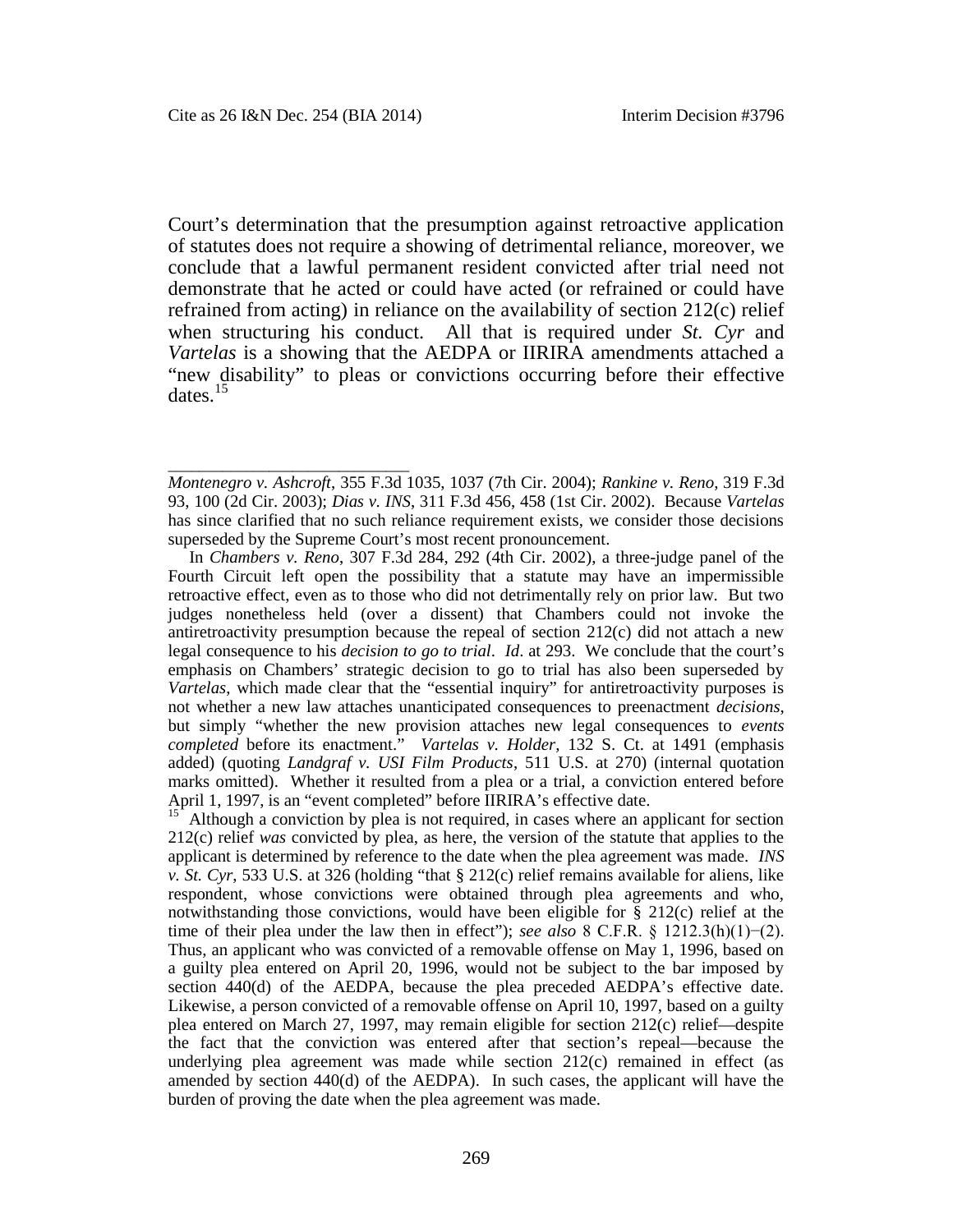\_\_\_\_\_\_\_\_\_\_\_\_\_\_\_\_\_\_\_\_\_\_\_\_\_\_\_\_\_\_\_

Court's determination that the presumption against retroactive application of statutes does not require a showing of detrimental reliance, moreover, we conclude that a lawful permanent resident convicted after trial need not demonstrate that he acted or could have acted (or refrained or could have refrained from acting) in reliance on the availability of section 212(c) relief when structuring his conduct. All that is required under *St. Cyr* and *Vartelas* is a showing that the AEDPA or IIRIRA amendments attached a "new disability" to pleas or convictions occurring before their effective dates.[15](#page-15-0)

In *Chambers v. Reno*, 307 F.3d 284, 292 (4th Cir. 2002), a three-judge panel of the Fourth Circuit left open the possibility that a statute may have an impermissible retroactive effect, even as to those who did not detrimentally rely on prior law. But two judges nonetheless held (over a dissent) that Chambers could not invoke the antiretroactivity presumption because the repeal of section 212(c) did not attach a new legal consequence to his *decision to go to trial*. *Id*. at 293. We conclude that the court's emphasis on Chambers' strategic decision to go to trial has also been superseded by *Vartelas*, which made clear that the "essential inquiry" for antiretroactivity purposes is not whether a new law attaches unanticipated consequences to preenactment *decisions*, but simply "whether the new provision attaches new legal consequences to *events completed* before its enactment." *Vartelas v. Holder*, 132 S. Ct. at 1491 (emphasis added) (quoting *Landgraf v. USI Film Products*, 511 U.S. at 270) (internal quotation marks omitted). Whether it resulted from a plea or a trial, a conviction entered before April 1, 1997, is an "event completed" before IIRIRA's effective date.

<span id="page-15-0"></span><sup>15</sup> Although a conviction by plea is not required, in cases where an applicant for section 212(c) relief *was* convicted by plea, as here, the version of the statute that applies to the applicant is determined by reference to the date when the plea agreement was made. *INS v. St. Cyr*, 533 U.S. at 326 (holding "that § 212(c) relief remains available for aliens, like respondent, whose convictions were obtained through plea agreements and who, notwithstanding those convictions, would have been eligible for  $\S$  212(c) relief at the time of their plea under the law then in effect"); *see also* 8 C.F.R. § 1212.3(h)(1)−(2). Thus, an applicant who was convicted of a removable offense on May 1, 1996, based on a guilty plea entered on April 20, 1996, would not be subject to the bar imposed by section 440(d) of the AEDPA, because the plea preceded AEDPA's effective date. Likewise, a person convicted of a removable offense on April 10, 1997, based on a guilty plea entered on March 27, 1997, may remain eligible for section 212(c) relief—despite the fact that the conviction was entered after that section's repeal—because the underlying plea agreement was made while section 212(c) remained in effect (as amended by section 440(d) of the AEDPA). In such cases, the applicant will have the burden of proving the date when the plea agreement was made.

*Montenegro v. Ashcroft*, 355 F.3d 1035, 1037 (7th Cir. 2004); *Rankine v. Reno*, 319 F.3d 93, 100 (2d Cir. 2003); *Dias v. INS*, 311 F.3d 456, 458 (1st Cir. 2002). Because *Vartelas* has since clarified that no such reliance requirement exists, we consider those decisions superseded by the Supreme Court's most recent pronouncement.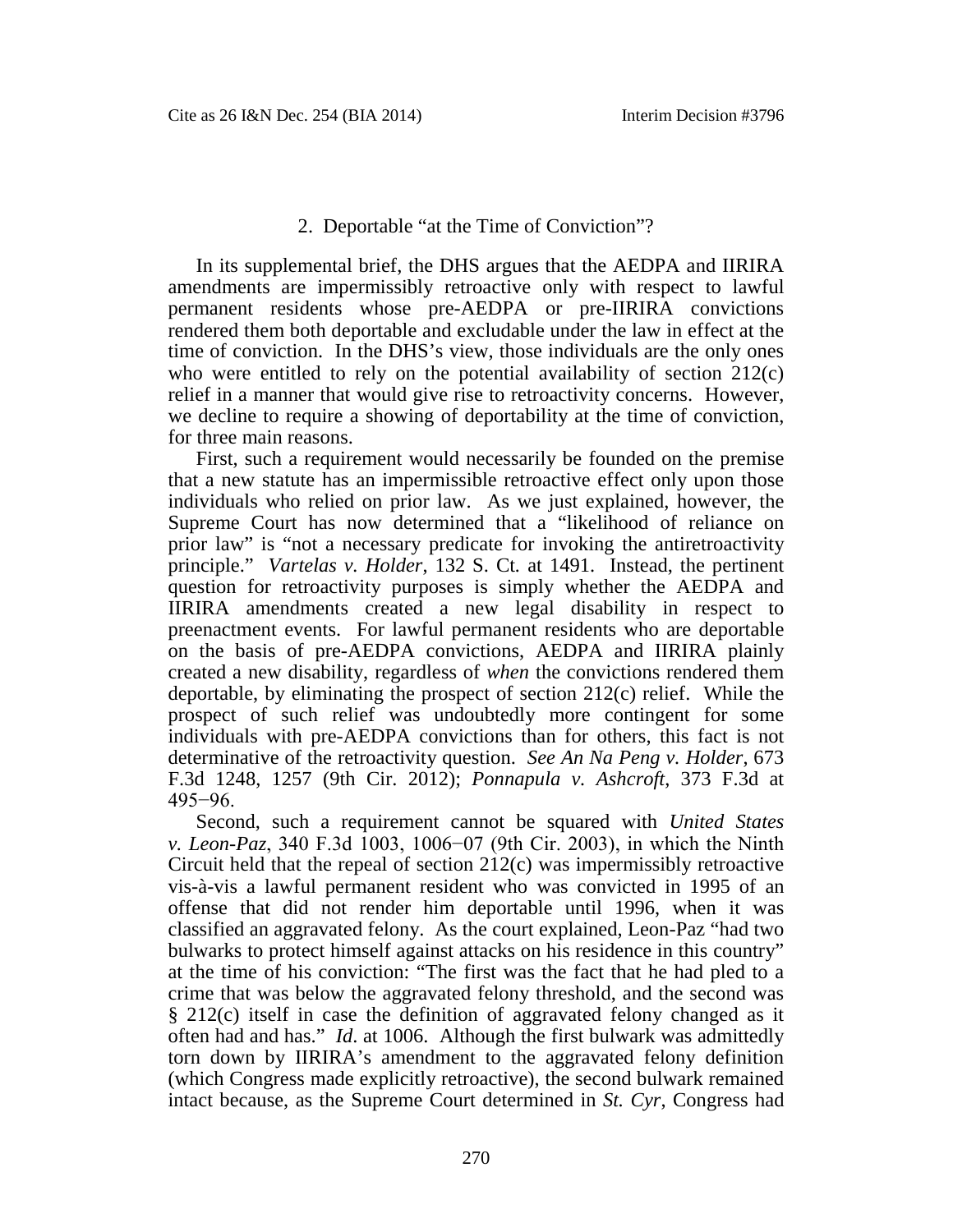## 2. Deportable "at the Time of Conviction"?

In its supplemental brief, the DHS argues that the AEDPA and IIRIRA amendments are impermissibly retroactive only with respect to lawful permanent residents whose pre-AEDPA or pre-IIRIRA convictions rendered them both deportable and excludable under the law in effect at the time of conviction. In the DHS's view, those individuals are the only ones who were entitled to rely on the potential availability of section 212(c) relief in a manner that would give rise to retroactivity concerns. However, we decline to require a showing of deportability at the time of conviction, for three main reasons.

First, such a requirement would necessarily be founded on the premise that a new statute has an impermissible retroactive effect only upon those individuals who relied on prior law. As we just explained, however, the Supreme Court has now determined that a "likelihood of reliance on prior law" is "not a necessary predicate for invoking the antiretroactivity principle." *Vartelas v. Holder*, 132 S. Ct*.* at 1491. Instead, the pertinent question for retroactivity purposes is simply whether the AEDPA and IIRIRA amendments created a new legal disability in respect to preenactment events. For lawful permanent residents who are deportable on the basis of pre-AEDPA convictions, AEDPA and IIRIRA plainly created a new disability, regardless of *when* the convictions rendered them deportable, by eliminating the prospect of section 212(c) relief. While the prospect of such relief was undoubtedly more contingent for some individuals with pre-AEDPA convictions than for others, this fact is not determinative of the retroactivity question. *See An Na Peng v. Holder*, 673 F.3d 1248, 1257 (9th Cir. 2012); *Ponnapula v. Ashcroft*, 373 F.3d at 495−96.

Second, such a requirement cannot be squared with *United States v. Leon-Paz*, 340 F.3d 1003, 1006−07 (9th Cir. 2003), in which the Ninth Circuit held that the repeal of section 212(c) was impermissibly retroactive vis-à-vis a lawful permanent resident who was convicted in 1995 of an offense that did not render him deportable until 1996, when it was classified an aggravated felony. As the court explained, Leon-Paz "had two bulwarks to protect himself against attacks on his residence in this country" at the time of his conviction: "The first was the fact that he had pled to a crime that was below the aggravated felony threshold, and the second was § 212(c) itself in case the definition of aggravated felony changed as it often had and has." *Id*. at 1006. Although the first bulwark was admittedly torn down by IIRIRA's amendment to the aggravated felony definition (which Congress made explicitly retroactive), the second bulwark remained intact because, as the Supreme Court determined in *St. Cyr*, Congress had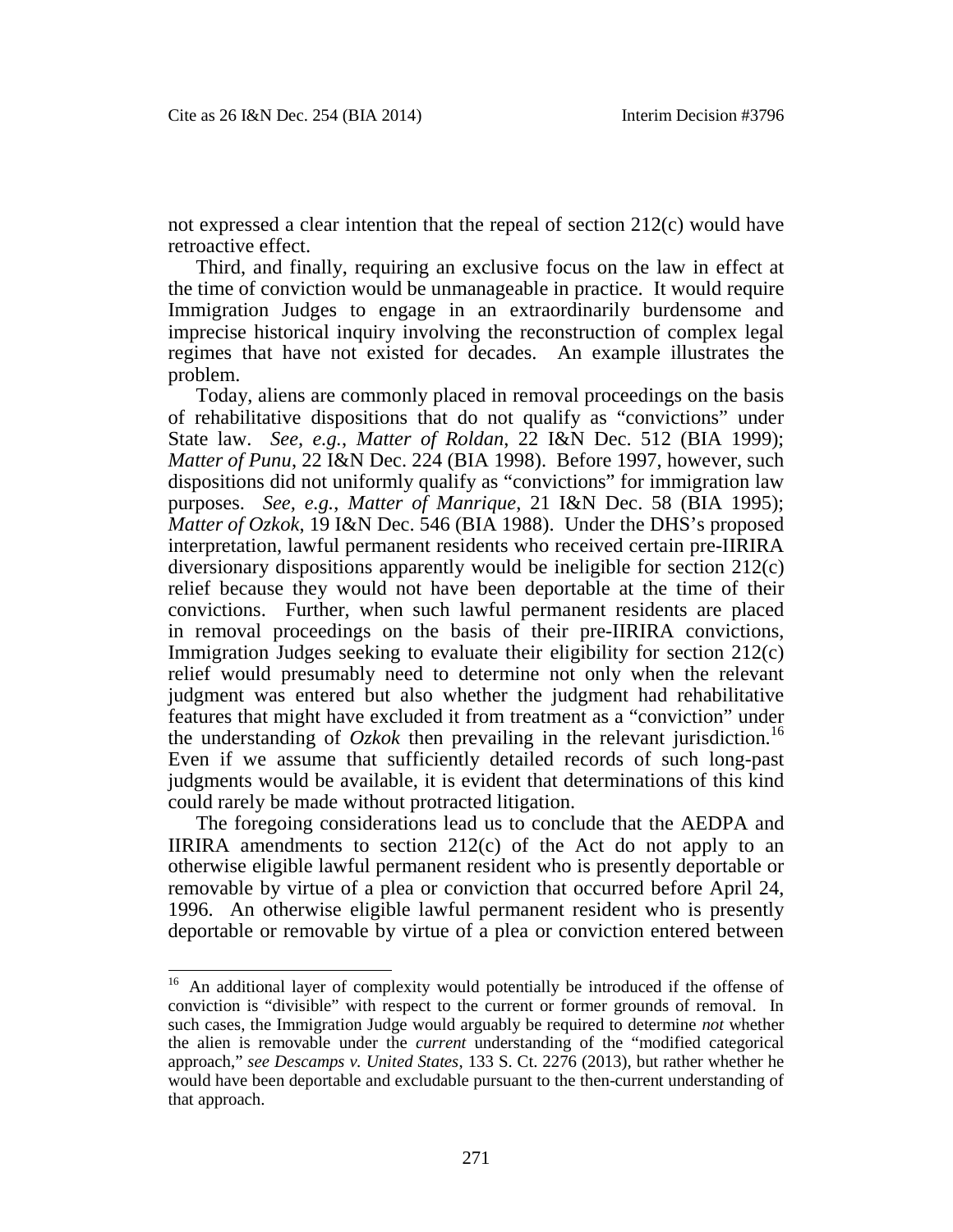not expressed a clear intention that the repeal of section 212(c) would have retroactive effect.

Third, and finally, requiring an exclusive focus on the law in effect at the time of conviction would be unmanageable in practice. It would require Immigration Judges to engage in an extraordinarily burdensome and imprecise historical inquiry involving the reconstruction of complex legal regimes that have not existed for decades. An example illustrates the problem.

Today, aliens are commonly placed in removal proceedings on the basis of rehabilitative dispositions that do not qualify as "convictions" under State law. *See, e.g.*, *Matter of Roldan*, 22 I&N Dec. 512 (BIA 1999); *Matter of Punu*, 22 I&N Dec. 224 (BIA 1998). Before 1997, however, such dispositions did not uniformly qualify as "convictions" for immigration law purposes. *See, e.g.*, *Matter of Manrique*, 21 I&N Dec. 58 (BIA 1995); *Matter of Ozkok*, 19 I&N Dec. 546 (BIA 1988). Under the DHS's proposed interpretation, lawful permanent residents who received certain pre-IIRIRA diversionary dispositions apparently would be ineligible for section 212(c) relief because they would not have been deportable at the time of their convictions. Further, when such lawful permanent residents are placed in removal proceedings on the basis of their pre-IIRIRA convictions, Immigration Judges seeking to evaluate their eligibility for section 212(c) relief would presumably need to determine not only when the relevant judgment was entered but also whether the judgment had rehabilitative features that might have excluded it from treatment as a "conviction" under the understanding of  $Ozkok$  then prevailing in the relevant jurisdiction.<sup>[16](#page-17-0)</sup> Even if we assume that sufficiently detailed records of such long-past judgments would be available, it is evident that determinations of this kind could rarely be made without protracted litigation.

The foregoing considerations lead us to conclude that the AEDPA and IIRIRA amendments to section  $212(c)$  of the Act do not apply to an otherwise eligible lawful permanent resident who is presently deportable or removable by virtue of a plea or conviction that occurred before April 24, 1996. An otherwise eligible lawful permanent resident who is presently deportable or removable by virtue of a plea or conviction entered between

<span id="page-17-0"></span><sup>&</sup>lt;sup>16</sup> An additional layer of complexity would potentially be introduced if the offense of conviction is "divisible" with respect to the current or former grounds of removal. In such cases, the Immigration Judge would arguably be required to determine *not* whether the alien is removable under the *current* understanding of the "modified categorical approach," *see Descamps v. United States*, 133 S. Ct. 2276 (2013), but rather whether he would have been deportable and excludable pursuant to the then-current understanding of that approach.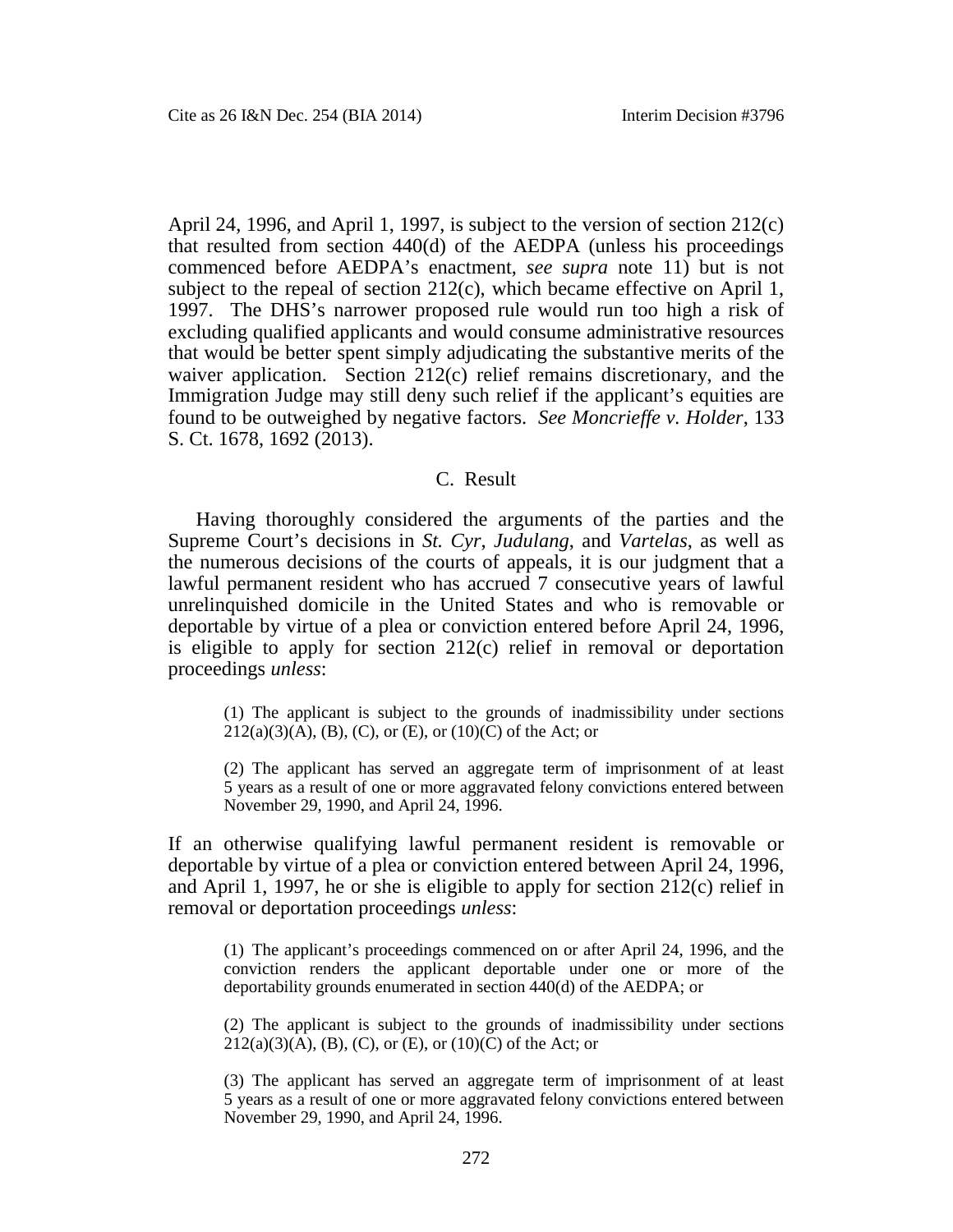April 24, 1996, and April 1, 1997, is subject to the version of section 212(c) that resulted from section 440(d) of the AEDPA (unless his proceedings commenced before AEDPA's enactment, *see supra* note 11) but is not subject to the repeal of section 212(c), which became effective on April 1, 1997. The DHS's narrower proposed rule would run too high a risk of excluding qualified applicants and would consume administrative resources that would be better spent simply adjudicating the substantive merits of the waiver application. Section 212(c) relief remains discretionary, and the Immigration Judge may still deny such relief if the applicant's equities are found to be outweighed by negative factors. *See Moncrieffe v. Holder*, 133 S. Ct. 1678, 1692 (2013).

## C. Result

Having thoroughly considered the arguments of the parties and the Supreme Court's decisions in *St. Cyr*, *Judulang*, and *Vartelas*, as well as the numerous decisions of the courts of appeals, it is our judgment that a lawful permanent resident who has accrued 7 consecutive years of lawful unrelinquished domicile in the United States and who is removable or deportable by virtue of a plea or conviction entered before April 24, 1996, is eligible to apply for section 212(c) relief in removal or deportation proceedings *unless*:

(1) The applicant is subject to the grounds of inadmissibility under sections  $212(a)(3)(A)$ , (B), (C), or (E), or (10)(C) of the Act; or

(2) The applicant has served an aggregate term of imprisonment of at least 5 years as a result of one or more aggravated felony convictions entered between November 29, 1990, and April 24, 1996.

If an otherwise qualifying lawful permanent resident is removable or deportable by virtue of a plea or conviction entered between April 24, 1996, and April 1, 1997, he or she is eligible to apply for section 212(c) relief in removal or deportation proceedings *unless*:

(1) The applicant's proceedings commenced on or after April 24, 1996, and the conviction renders the applicant deportable under one or more of the deportability grounds enumerated in section 440(d) of the AEDPA; or

(2) The applicant is subject to the grounds of inadmissibility under sections  $212(a)(3)(A)$ , (B), (C), or (E), or (10)(C) of the Act; or

(3) The applicant has served an aggregate term of imprisonment of at least 5 years as a result of one or more aggravated felony convictions entered between November 29, 1990, and April 24, 1996.